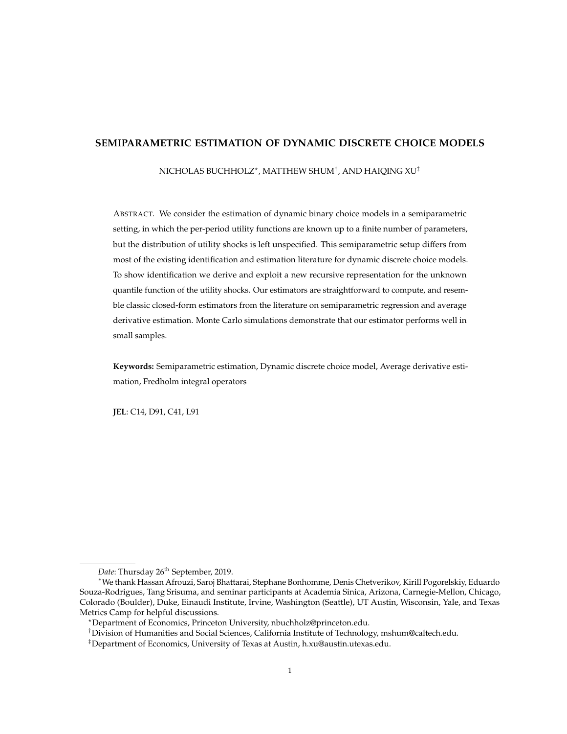# **SEMIPARAMETRIC ESTIMATION OF DYNAMIC DISCRETE CHOICE MODELS**

[NICHOLAS BUCHHOLZ](MAILTO: NBUCHHOLZ@PRINCETON.EDU)? , [MATTHEW SHUM](MAILTO:MSHUM@CALTECH.EDU)† , AND [HAIQING XU](MAILTO:H.XU@AUSTIN.UTEXAS.EDU)‡

ABSTRACT. We consider the estimation of dynamic binary choice models in a semiparametric setting, in which the per-period utility functions are known up to a finite number of parameters, but the distribution of utility shocks is left unspecified. This semiparametric setup differs from most of the existing identification and estimation literature for dynamic discrete choice models. To show identification we derive and exploit a new recursive representation for the unknown quantile function of the utility shocks. Our estimators are straightforward to compute, and resemble classic closed-form estimators from the literature on semiparametric regression and average derivative estimation. Monte Carlo simulations demonstrate that our estimator performs well in small samples.

**Keywords:** Semiparametric estimation, Dynamic discrete choice model, Average derivative estimation, Fredholm integral operators

**JEL**: C14, D91, C41, L91

Date: Thursday 26<sup>th</sup> September, 2019.

<sup>∗</sup>We thank Hassan Afrouzi, Saroj Bhattarai, Stephane Bonhomme, Denis Chetverikov, Kirill Pogorelskiy, Eduardo Souza-Rodrigues, Tang Srisuma, and seminar participants at Academia Sinica, Arizona, Carnegie-Mellon, Chicago, Colorado (Boulder), Duke, Einaudi Institute, Irvine, Washington (Seattle), UT Austin, Wisconsin, Yale, and Texas Metrics Camp for helpful discussions.

<sup>?</sup>Department of Economics, Princeton University, [nbuchholz@princeton.edu.](mailto: nbuchholz@princeton.edu)

<sup>†</sup>Division of Humanities and Social Sciences, California Institute of Technology, [mshum@caltech.edu.](mailto:mshum@caltech.edu)

 $^{\ddagger}$ Department of Economics, University of Texas at Austin, [h.xu@austin.utexas.edu.](mailto:h.xu@austin.utexas.edu)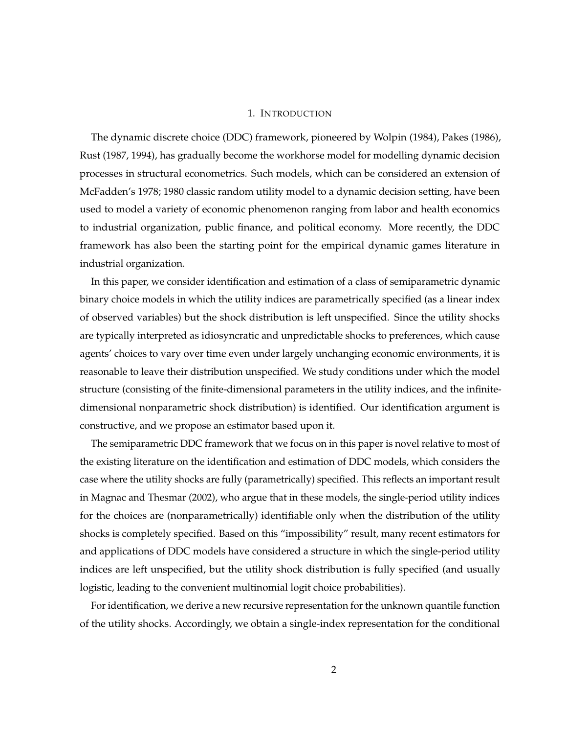## 1. INTRODUCTION

The dynamic discrete choice (DDC) framework, pioneered by [Wolpin](#page-25-0) [\(1984\)](#page-25-0), [Pakes](#page-25-1) [\(1986\)](#page-25-1), [Rust](#page-25-2) [\(1987,](#page-25-2) [1994\)](#page-25-3), has gradually become the workhorse model for modelling dynamic decision processes in structural econometrics. Such models, which can be considered an extension of McFadden's [1978;](#page-25-4) [1980](#page-25-5) classic random utility model to a dynamic decision setting, have been used to model a variety of economic phenomenon ranging from labor and health economics to industrial organization, public finance, and political economy. More recently, the DDC framework has also been the starting point for the empirical dynamic games literature in industrial organization.

In this paper, we consider identification and estimation of a class of semiparametric dynamic binary choice models in which the utility indices are parametrically specified (as a linear index of observed variables) but the shock distribution is left unspecified. Since the utility shocks are typically interpreted as idiosyncratic and unpredictable shocks to preferences, which cause agents' choices to vary over time even under largely unchanging economic environments, it is reasonable to leave their distribution unspecified. We study conditions under which the model structure (consisting of the finite-dimensional parameters in the utility indices, and the infinitedimensional nonparametric shock distribution) is identified. Our identification argument is constructive, and we propose an estimator based upon it.

The semiparametric DDC framework that we focus on in this paper is novel relative to most of the existing literature on the identification and estimation of DDC models, which considers the case where the utility shocks are fully (parametrically) specified. This reflects an important result in [Magnac and Thesmar](#page-24-0) [\(2002\)](#page-24-0), who argue that in these models, the single-period utility indices for the choices are (nonparametrically) identifiable only when the distribution of the utility shocks is completely specified. Based on this "impossibility" result, many recent estimators for and applications of DDC models have considered a structure in which the single-period utility indices are left unspecified, but the utility shock distribution is fully specified (and usually logistic, leading to the convenient multinomial logit choice probabilities).

For identification, we derive a new recursive representation for the unknown quantile function of the utility shocks. Accordingly, we obtain a single-index representation for the conditional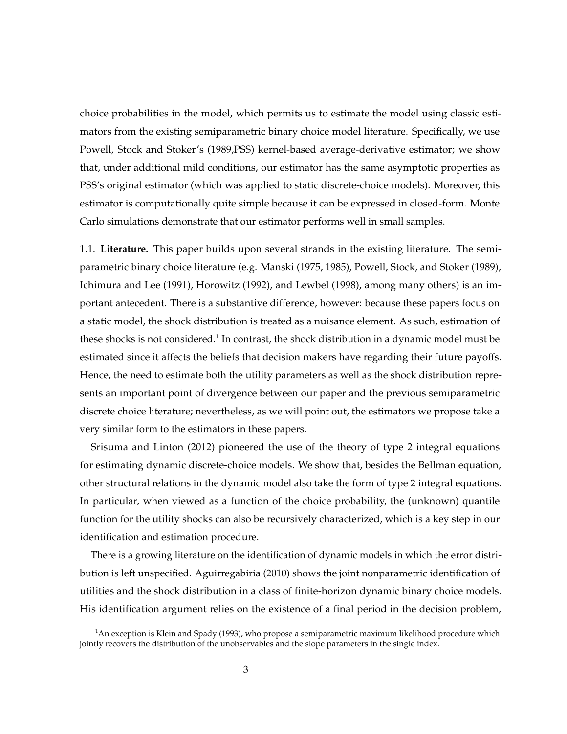choice probabilities in the model, which permits us to estimate the model using classic estimators from the existing semiparametric binary choice model literature. Specifically, we use Powell, Stock and Stoker's [\(1989,](#page-25-6)PSS) kernel-based average-derivative estimator; we show that, under additional mild conditions, our estimator has the same asymptotic properties as PSS's original estimator (which was applied to static discrete-choice models). Moreover, this estimator is computationally quite simple because it can be expressed in closed-form. Monte Carlo simulations demonstrate that our estimator performs well in small samples.

1.1. **Literature.** This paper builds upon several strands in the existing literature. The semiparametric binary choice literature (e.g. [Manski](#page-24-1) [\(1975,](#page-24-1) [1985\)](#page-24-2), [Powell, Stock, and Stoker](#page-25-6) [\(1989\)](#page-25-6), [Ichimura and Lee](#page-24-3) [\(1991\)](#page-24-3), [Horowitz](#page-24-4) [\(1992\)](#page-24-4), and [Lewbel](#page-24-5) [\(1998\)](#page-24-5), among many others) is an important antecedent. There is a substantive difference, however: because these papers focus on a static model, the shock distribution is treated as a nuisance element. As such, estimation of these shocks is not considered. $^1$  In contrast, the shock distribution in a dynamic model must be estimated since it affects the beliefs that decision makers have regarding their future payoffs. Hence, the need to estimate both the utility parameters as well as the shock distribution represents an important point of divergence between our paper and the previous semiparametric discrete choice literature; nevertheless, as we will point out, the estimators we propose take a very similar form to the estimators in these papers.

[Srisuma and Linton](#page-25-7) [\(2012\)](#page-25-7) pioneered the use of the theory of type 2 integral equations for estimating dynamic discrete-choice models. We show that, besides the Bellman equation, other structural relations in the dynamic model also take the form of type 2 integral equations. In particular, when viewed as a function of the choice probability, the (unknown) quantile function for the utility shocks can also be recursively characterized, which is a key step in our identification and estimation procedure.

There is a growing literature on the identification of dynamic models in which the error distribution is left unspecified. [Aguirregabiria](#page-23-0) [\(2010\)](#page-23-0) shows the joint nonparametric identification of utilities and the shock distribution in a class of finite-horizon dynamic binary choice models. His identification argument relies on the existence of a final period in the decision problem,

 $1$ An exception is [Klein and Spady](#page-24-6) [\(1993\)](#page-24-6), who propose a semiparametric maximum likelihood procedure which jointly recovers the distribution of the unobservables and the slope parameters in the single index.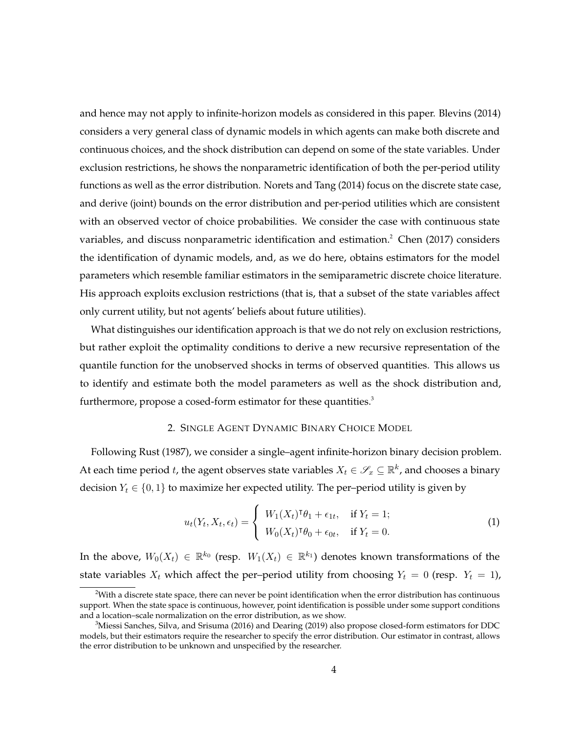and hence may not apply to infinite-horizon models as considered in this paper. [Blevins](#page-23-1) [\(2014\)](#page-23-1) considers a very general class of dynamic models in which agents can make both discrete and continuous choices, and the shock distribution can depend on some of the state variables. Under exclusion restrictions, he shows the nonparametric identification of both the per-period utility functions as well as the error distribution. [Norets and Tang](#page-25-8) [\(2014\)](#page-25-8) focus on the discrete state case, and derive (joint) bounds on the error distribution and per-period utilities which are consistent with an observed vector of choice probabilities. We consider the case with continuous state variables, and discuss nonparametric identification and estimation.<sup>2</sup> [Chen](#page-23-2) [\(2017\)](#page-23-2) considers the identification of dynamic models, and, as we do here, obtains estimators for the model parameters which resemble familiar estimators in the semiparametric discrete choice literature. His approach exploits exclusion restrictions (that is, that a subset of the state variables affect only current utility, but not agents' beliefs about future utilities).

What distinguishes our identification approach is that we do not rely on exclusion restrictions, but rather exploit the optimality conditions to derive a new recursive representation of the quantile function for the unobserved shocks in terms of observed quantities. This allows us to identify and estimate both the model parameters as well as the shock distribution and, furthermore, propose a cosed-form estimator for these quantities.<sup>3</sup>

## 2. SINGLE AGENT DYNAMIC BINARY CHOICE MODEL

Following [Rust](#page-25-2) [\(1987\)](#page-25-2), we consider a single–agent infinite-horizon binary decision problem. At each time period  $t$ , the agent observes state variables  $X_t \in \mathscr{S}_x \subseteq \mathbb{R}^k$ , and chooses a binary decision  $Y_t \in \{0, 1\}$  to maximize her expected utility. The per–period utility is given by

<span id="page-3-0"></span>
$$
u_t(Y_t, X_t, \epsilon_t) = \begin{cases} W_1(X_t)^\intercal \theta_1 + \epsilon_{1t}, & \text{if } Y_t = 1; \\ W_0(X_t)^\intercal \theta_0 + \epsilon_{0t}, & \text{if } Y_t = 0. \end{cases}
$$
 (1)

In the above,  $W_0(X_t)\,\in\,\mathbb{R}^{k_0}$  (resp.  $\,W_1(X_t)\,\in\,\mathbb{R}^{k_1})$  denotes known transformations of the state variables  $X_t$  which affect the per-period utility from choosing  $Y_t = 0$  (resp.  $Y_t = 1$ ),

 $2$ With a discrete state space, there can never be point identification when the error distribution has continuous support. When the state space is continuous, however, point identification is possible under some support conditions and a location–scale normalization on the error distribution, as we show.

 $3$ [Miessi Sanches, Silva, and Srisuma](#page-25-9) [\(2016\)](#page-25-9) and [Dearing](#page-23-3) [\(2019\)](#page-23-3) also propose closed-form estimators for DDC models, but their estimators require the researcher to specify the error distribution. Our estimator in contrast, allows the error distribution to be unknown and unspecified by the researcher.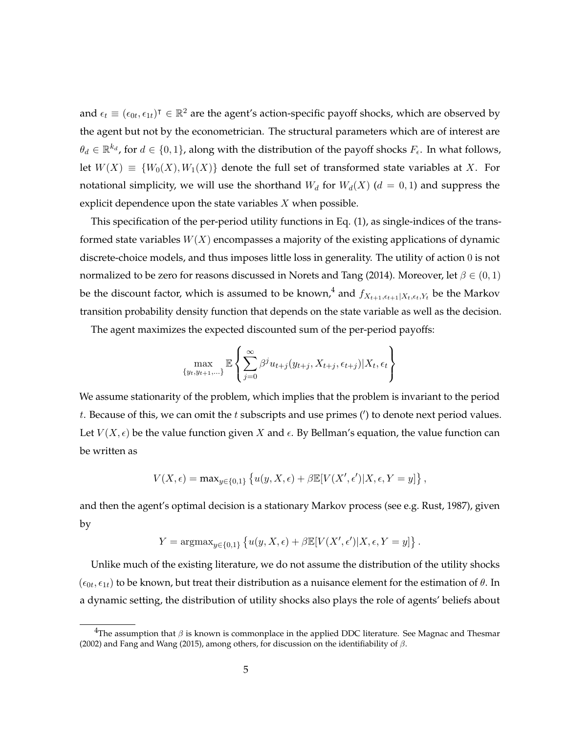and  $\epsilon_t \equiv (\epsilon_{0t},\epsilon_{1t})^\intercal \in \mathbb{R}^2$  are the agent's action-specific payoff shocks, which are observed by the agent but not by the econometrician. The structural parameters which are of interest are  $\theta_d \in \mathbb{R}^{k_d}$ , for  $d \in \{0,1\}$ , along with the distribution of the payoff shocks  $F_{\epsilon}$ . In what follows, let  $W(X) \equiv \{W_0(X), W_1(X)\}\$  denote the full set of transformed state variables at X. For notational simplicity, we will use the shorthand  $W_d$  for  $W_d(X)$  ( $d = 0, 1$ ) and suppress the explicit dependence upon the state variables  $X$  when possible.

This specification of the per-period utility functions in Eq. [\(1\)](#page-3-0), as single-indices of the transformed state variables  $W(X)$  encompasses a majority of the existing applications of dynamic discrete-choice models, and thus imposes little loss in generality. The utility of action 0 is not normalized to be zero for reasons discussed in [Norets and Tang](#page-25-8) [\(2014\)](#page-25-8). Moreover, let  $\beta \in (0,1)$ be the discount factor, which is assumed to be known,<sup>4</sup> and  $f_{X_{t+1},\epsilon_{t+1}|X_t,\epsilon_t,Y_t}$  be the Markov transition probability density function that depends on the state variable as well as the decision.

The agent maximizes the expected discounted sum of the per-period payoffs:

$$
\max_{\{y_t, y_{t+1}, \ldots\}} \mathbb{E}\left\{\sum_{j=0}^{\infty} \beta^j u_{t+j}(y_{t+j}, X_{t+j}, \epsilon_{t+j}) | X_t, \epsilon_t\right\}
$$

We assume stationarity of the problem, which implies that the problem is invariant to the period t. Because of this, we can omit the  $t$  subscripts and use primes ( $\prime$ ) to denote next period values. Let  $V(X, \epsilon)$  be the value function given X and  $\epsilon$ . By Bellman's equation, the value function can be written as

$$
V(X,\epsilon) = \max_{y \in \{0,1\}} \left\{ u(y,X,\epsilon) + \beta \mathbb{E}[V(X',\epsilon')]X,\epsilon, Y = y] \right\},\,
$$

and then the agent's optimal decision is a stationary Markov process (see e.g. [Rust, 1987\)](#page-25-2), given by

$$
Y = \operatorname{argmax}_{y \in \{0,1\}} \left\{ u(y, X, \epsilon) + \beta \mathbb{E}[V(X', \epsilon')]X, \epsilon, Y = y] \right\}.
$$

Unlike much of the existing literature, we do not assume the distribution of the utility shocks  $(\epsilon_{0t}, \epsilon_{1t})$  to be known, but treat their distribution as a nuisance element for the estimation of  $\theta$ . In a dynamic setting, the distribution of utility shocks also plays the role of agents' beliefs about

<sup>&</sup>lt;sup>4</sup>The assumption that  $\beta$  is known is commonplace in the applied DDC literature. See [Magnac and Thesmar](#page-24-0) [\(2002\)](#page-24-0) and [Fang and Wang](#page-23-4) [\(2015\)](#page-23-4), among others, for discussion on the identifiability of  $\beta$ .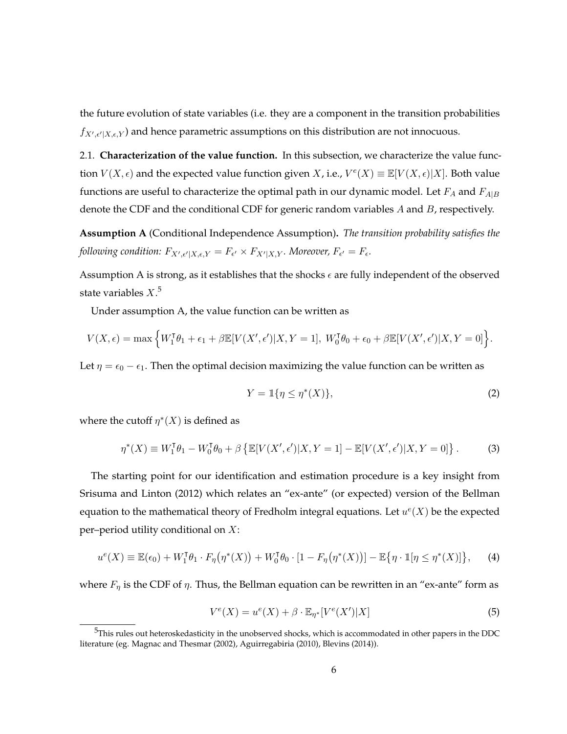the future evolution of state variables (i.e. they are a component in the transition probabilities  $f_{X',\epsilon'|X,\epsilon,Y}$ ) and hence parametric assumptions on this distribution are not innocuous.

2.1. **Characterization of the value function.** In this subsection, we characterize the value function  $V(X, \epsilon)$  and the expected value function given X, i.e.,  $V^e(X) \equiv \mathbb{E}[V(X, \epsilon)|X]$ . Both value functions are useful to characterize the optimal path in our dynamic model. Let  $F_A$  and  $F_{A|B}$ denote the CDF and the conditional CDF for generic random variables A and B, respectively.

<span id="page-5-0"></span>**Assumption A** (Conditional Independence Assumption)**.** *The transition probability satisfies the* following condition:  $F_{X',\epsilon'|X,\epsilon,Y} = F_{\epsilon'} \times F_{X'|X,Y}$ . Moreover,  $F_{\epsilon'} = F_{\epsilon}$ .

Assumption [A](#page-5-0) is strong, as it establishes that the shocks  $\epsilon$  are fully independent of the observed state variables  $X^5$ 

Under assumption [A,](#page-5-0) the value function can be written as

$$
V(X,\epsilon) = \max\left\{W_1^{\mathsf{T}}\theta_1 + \epsilon_1 + \beta \mathbb{E}[V(X',\epsilon')]X, Y = 1], W_0^{\mathsf{T}}\theta_0 + \epsilon_0 + \beta \mathbb{E}[V(X',\epsilon')]X, Y = 0\right\}.
$$

Let  $\eta = \epsilon_0 - \epsilon_1$ . Then the optimal decision maximizing the value function can be written as

<span id="page-5-4"></span>
$$
Y = \mathbb{1}\{\eta \le \eta^*(X)\},\tag{2}
$$

where the cutoff  $\eta^*(X)$  is defined as

<span id="page-5-2"></span>
$$
\eta^*(X) \equiv W_1^{\mathsf{T}} \theta_1 - W_0^{\mathsf{T}} \theta_0 + \beta \left\{ \mathbb{E}[V(X', \epsilon') | X, Y = 1] - \mathbb{E}[V(X', \epsilon') | X, Y = 0] \right\}.
$$
 (3)

The starting point for our identification and estimation procedure is a key insight from [Srisuma and Linton](#page-25-7) [\(2012\)](#page-25-7) which relates an "ex-ante" (or expected) version of the Bellman equation to the mathematical theory of Fredholm integral equations. Let  $u^e(X)$  be the expected per–period utility conditional on  $X$ :

<span id="page-5-3"></span>
$$
u^e(X) \equiv \mathbb{E}(\epsilon_0) + W_1^{\mathsf{T}} \theta_1 \cdot F_{\eta}(\eta^*(X)) + W_0^{\mathsf{T}} \theta_0 \cdot [1 - F_{\eta}(\eta^*(X))] - \mathbb{E}\{\eta \cdot \mathbb{I}[\eta \le \eta^*(X)]\},\tag{4}
$$

where  $F_{\eta}$  is the CDF of  $\eta$ . Thus, the Bellman equation can be rewritten in an "ex-ante" form as

<span id="page-5-1"></span>
$$
V^{e}(X) = u^{e}(X) + \beta \cdot \mathbb{E}_{\eta^{*}}[V^{e}(X')|X]
$$
\n
$$
(5)
$$

 $5$ This rules out heteroskedasticity in the unobserved shocks, which is accommodated in other papers in the DDC literature (eg. [Magnac and Thesmar](#page-24-0) [\(2002\)](#page-24-0), [Aguirregabiria](#page-23-0) [\(2010\)](#page-23-0), [Blevins](#page-23-1) [\(2014\)](#page-23-1)).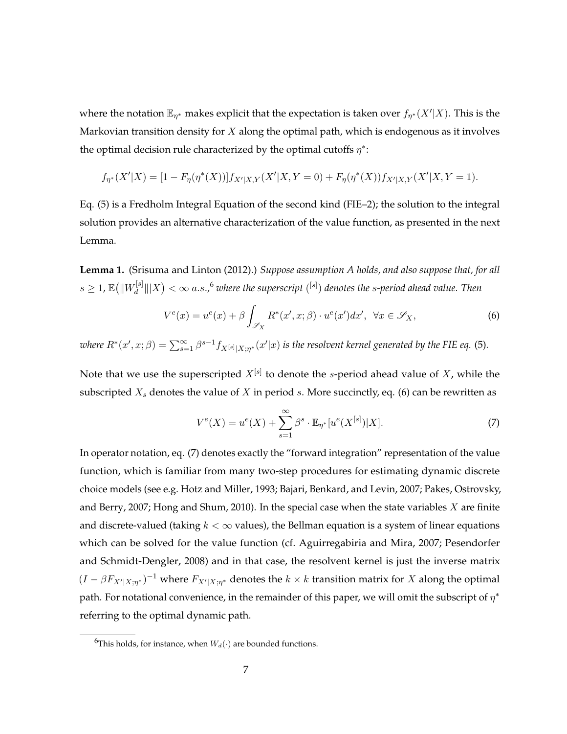where the notation  $\mathbb{E}_{\eta^*}$  makes explicit that the expectation is taken over  $f_{\eta^*}(X'|X)$ . This is the Markovian transition density for  $X$  along the optimal path, which is endogenous as it involves the optimal decision rule characterized by the optimal cutoffs  $\eta^*$ :

$$
f_{\eta^*}(X'|X) = [1 - F_{\eta}(\eta^*(X))]f_{X'|X,Y}(X'|X,Y=0) + F_{\eta}(\eta^*(X))f_{X'|X,Y}(X'|X,Y=1).
$$

Eq. [\(5\)](#page-5-1) is a Fredholm Integral Equation of the second kind (FIE–2); the solution to the integral solution provides an alternative characterization of the value function, as presented in the next Lemma.

<span id="page-6-2"></span>**Lemma 1.** [\(Srisuma and Linton](#page-25-7) [\(2012\)](#page-25-7).) *Suppose assumption [A](#page-5-0) holds, and also suppose that, for all*  $s\geq 1$ ,  $\mathbb{E}\big(\|W_d^{[s]}\big)$  $\frac{d}{dt}$   $\|X\| < \infty$  a.s.,  $^6$  where the superscript  $({}^{\rm [s]})$  denotes the s-period ahead value. Then

<span id="page-6-0"></span>
$$
V^{e}(x) = u^{e}(x) + \beta \int_{\mathscr{S}_{X}} R^{*}(x', x; \beta) \cdot u^{e}(x') dx', \ \forall x \in \mathscr{S}_{X}, \tag{6}
$$

where  $R^*(x',x;\beta)=\sum_{s=1}^\infty \beta^{s-1} f_{X^{[s]}|X;\eta^*}(x'|x)$  is the resolvent kernel generated by the FIE eq. [\(5\)](#page-5-1).

Note that we use the superscripted  $X^{[s]}$  to denote the  $s$ -period ahead value of  $X$ , while the subscripted  $X_s$  denotes the value of X in period s. More succinctly, eq. [\(6\)](#page-6-0) can be rewritten as

<span id="page-6-1"></span>
$$
V^{e}(X) = u^{e}(X) + \sum_{s=1}^{\infty} \beta^{s} \cdot \mathbb{E}_{\eta^{*}}[u^{e}(X^{[s]})|X].
$$
 (7)

In operator notation, eq. [\(7\)](#page-6-1) denotes exactly the "forward integration" representation of the value function, which is familiar from many two-step procedures for estimating dynamic discrete choice models (see e.g. [Hotz and Miller, 1993;](#page-24-7) [Bajari, Benkard, and Levin, 2007;](#page-23-5) [Pakes, Ostrovsky,](#page-25-10) [and Berry, 2007;](#page-25-10) [Hong and Shum, 2010\)](#page-24-8). In the special case when the state variables  $X$  are finite and discrete-valued (taking  $k < \infty$  values), the Bellman equation is a system of linear equations which can be solved for the value function (cf. [Aguirregabiria and Mira, 2007;](#page-23-6) [Pesendorfer](#page-25-11) [and Schmidt-Dengler, 2008\)](#page-25-11) and in that case, the resolvent kernel is just the inverse matrix  $(I - \beta F_{X'|X;\eta^*})^{-1}$  where  $F_{X'|X;\eta^*}$  denotes the  $k \times k$  transition matrix for X along the optimal path. For notational convenience, in the remainder of this paper, we will omit the subscript of  $\eta^*$ referring to the optimal dynamic path.

<sup>&</sup>lt;sup>6</sup>This holds, for instance, when  $W_d(\cdot)$  are bounded functions.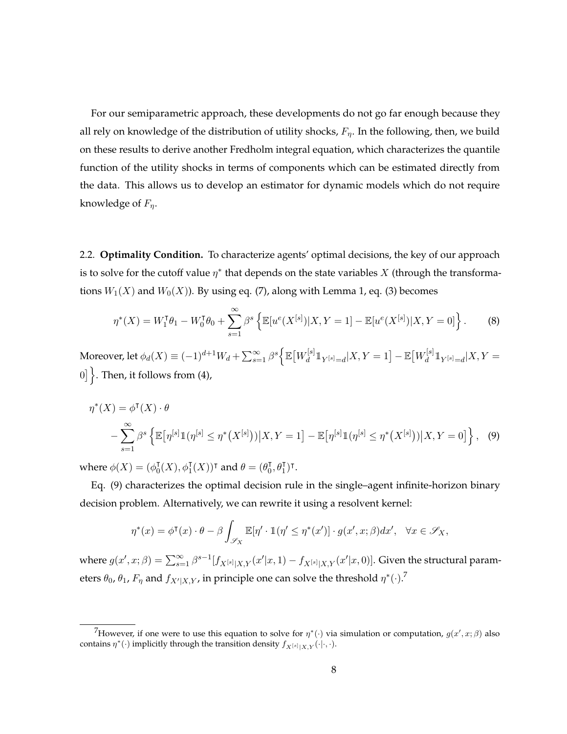For our semiparametric approach, these developments do not go far enough because they all rely on knowledge of the distribution of utility shocks,  $F_{\eta}$ . In the following, then, we build on these results to derive another Fredholm integral equation, which characterizes the quantile function of the utility shocks in terms of components which can be estimated directly from the data. This allows us to develop an estimator for dynamic models which do not require knowledge of  $F_n$ .

2.2. **Optimality Condition.** To characterize agents' optimal decisions, the key of our approach is to solve for the cutoff value  $\eta^*$  that depends on the state variables  $X$  (through the transformations  $W_1(X)$  and  $W_0(X)$ ). By using eq. [\(7\)](#page-6-1), along with Lemma [1,](#page-6-2) eq. [\(3\)](#page-5-2) becomes

$$
\eta^*(X) = W_1^{\mathsf{T}} \theta_1 - W_0^{\mathsf{T}} \theta_0 + \sum_{s=1}^{\infty} \beta^s \left\{ \mathbb{E}[u^e(X^{[s]})|X,Y=1] - \mathbb{E}[u^e(X^{[s]})|X,Y=0] \right\}.
$$
 (8)

Moreover, let  $\phi_d(X) \equiv (-1)^{d+1} W_d + \sum_{s=1}^{\infty} \beta^s \Big\{ \mathbb{E} \big[ W_d^{[s]} \big]$  $\frac{d}{d}\mathbb{1}_{Y^{[s]}=d}|X,Y=1\big]-\mathbb{E}\big[W^{[s]}_d\big]$  $\frac{d}{d} \mathbb{1}_{Y^{[s]}=d} | X, Y =$ 0]  $\}$ . Then, it follows from [\(4\)](#page-5-3),

$$
\eta^*(X) = \phi^{\mathsf{T}}(X) \cdot \theta
$$
  
 
$$
- \sum_{s=1}^{\infty} \beta^s \left\{ \mathbb{E} \left[ \eta^{[s]} \mathbb{1} (\eta^{[s]} \le \eta^*(X^{[s]})) \big| X, Y = 1 \right] - \mathbb{E} \left[ \eta^{[s]} \mathbb{1} (\eta^{[s]} \le \eta^*(X^{[s]})) \big| X, Y = 0 \right] \right\}, \tag{9}
$$

where  $\phi(X) = (\phi_0^{\dagger})$  $\mathcal{J}_0^{\intercal}(X), \phi_1^{\intercal}(X))^{\intercal}$  and  $\theta = (\theta_0^{\intercal})$  $_0^{\text{T}}, θ_1^{\text{T}}$ )<sup>T</sup>.

Eq. [\(9\)](#page-7-0) characterizes the optimal decision rule in the single–agent infinite-horizon binary decision problem. Alternatively, we can rewrite it using a resolvent kernel:

<span id="page-7-0"></span>
$$
\eta^*(x) = \phi^{\mathsf{T}}(x) \cdot \theta - \beta \int_{\mathscr{S}_X} \mathbb{E}[\eta' \cdot \mathbb{1}(\eta' \le \eta^*(x')] \cdot g(x', x; \beta) dx', \quad \forall x \in \mathscr{S}_X,
$$

where  $g(x', x; \beta) = \sum_{s=1}^{\infty} \beta^{s-1} [f_{X^{[s]}|X,Y}(x'|x, 1) - f_{X^{[s]}|X,Y}(x'|x, 0)].$  Given the structural parameters  $\theta_0$ ,  $\theta_1$ ,  $F_\eta$  and  $f_{X'|X,Y}$ , in principle one can solve the threshold  $\eta^*(\cdot).^{7}$ 

<sup>&</sup>lt;sup>7</sup>However, if one were to use this equation to solve for  $\eta^*(\cdot)$  via simulation or computation,  $g(x', x; \beta)$  also contains  $\eta^*(\cdot)$  implicitly through the transition density  $f_{X^{[s]}|X,Y}(\cdot|\cdot,\cdot)$ .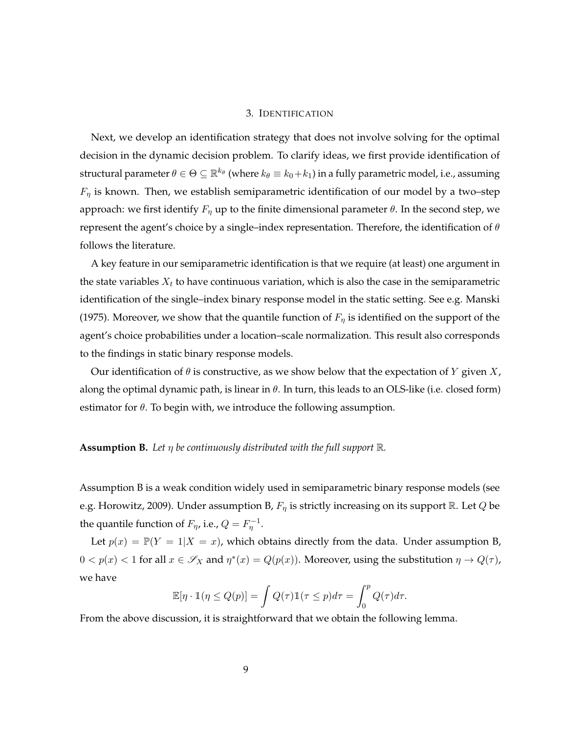## 3. IDENTIFICATION

Next, we develop an identification strategy that does not involve solving for the optimal decision in the dynamic decision problem. To clarify ideas, we first provide identification of structural parameter  $\theta\in\Theta\subseteq\mathbb{R}^{k_\theta}$  (where  $k_\theta\equiv k_0\!+\!k_1)$  in a fully parametric model, i.e., assuming  $F_{\eta}$  is known. Then, we establish semiparametric identification of our model by a two–step approach: we first identify  $F_{\eta}$  up to the finite dimensional parameter  $\theta$ . In the second step, we represent the agent's choice by a single–index representation. Therefore, the identification of  $\theta$ follows the literature.

A key feature in our semiparametric identification is that we require (at least) one argument in the state variables  $X_t$  to have continuous variation, which is also the case in the semiparametric identification of the single–index binary response model in the static setting. See e.g. [Manski](#page-24-1) [\(1975\)](#page-24-1). Moreover, we show that the quantile function of  $F<sub>\eta</sub>$  is identified on the support of the agent's choice probabilities under a location–scale normalization. This result also corresponds to the findings in static binary response models.

Our identification of  $\theta$  is constructive, as we show below that the expectation of Y given X, along the optimal dynamic path, is linear in  $\theta$ . In turn, this leads to an OLS-like (i.e. closed form) estimator for  $\theta$ . To begin with, we introduce the following assumption.

## <span id="page-8-0"></span>**Assumption B.** *Let* η *be continuously distributed with the full support* R*.*

Assumption [B](#page-8-0) is a weak condition widely used in semiparametric binary response models (see e.g. [Horowitz, 2009\)](#page-24-9). Under assumption [B,](#page-8-0)  $F_{\eta}$  is strictly increasing on its support R. Let Q be the quantile function of  $F_{\eta}$ , i.e.,  $Q = F_{\eta}^{-1}$ .

Let  $p(x) = \mathbb{P}(Y = 1 | X = x)$ , which obtains directly from the data. Under assumption [B,](#page-8-0)  $0 < p(x) < 1$  for all  $x \in \mathscr{S}_X$  and  $\eta^*(x) = Q(p(x))$ . Moreover, using the substitution  $\eta \to Q(\tau)$ , we have

$$
\mathbb{E}[\eta \cdot \mathbb{1}(\eta \le Q(p)] = \int Q(\tau) \mathbb{1}(\tau \le p) d\tau = \int_0^p Q(\tau) d\tau.
$$

From the above discussion, it is straightforward that we obtain the following lemma.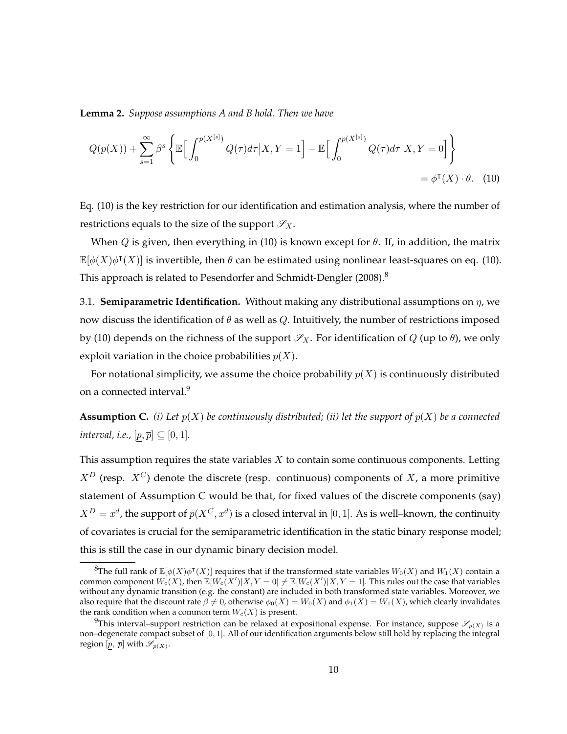**Lemma 2.** *Suppose assumptions [A](#page-5-0) and [B](#page-8-0) hold. Then we have*

<span id="page-9-0"></span>
$$
Q(p(X)) + \sum_{s=1}^{\infty} \beta^s \left\{ \mathbb{E} \Big[ \int_0^{p(X^{[s]})} Q(\tau) d\tau \Big| X, Y = 1 \Big] - \mathbb{E} \Big[ \int_0^{p(X^{[s]})} Q(\tau) d\tau \Big| X, Y = 0 \Big] \right\}
$$
  
=  $\phi^{\mathsf{T}}(X) \cdot \theta$ . (10)

Eq. [\(10\)](#page-9-0) is the key restriction for our identification and estimation analysis, where the number of restrictions equals to the size of the support  $\mathscr{S}_X$ .

When Q is given, then everything in [\(10\)](#page-9-0) is known except for  $\theta$ . If, in addition, the matrix  $\mathbb{E}[\phi(X)\phi^{\intercal}(X)]$  is invertible, then  $\theta$  can be estimated using nonlinear least-squares on eq. [\(10\)](#page-9-0). This approach is related to [Pesendorfer and Schmidt-Dengler](#page-25-11) [\(2008\)](#page-25-11).<sup>8</sup>

3.1. **Semiparametric Identification.** Without making any distributional assumptions on η, we now discuss the identification of  $\theta$  as well as Q. Intuitively, the number of restrictions imposed by [\(10\)](#page-9-0) depends on the richness of the support  $\mathscr{S}_X$ . For identification of Q (up to  $\theta$ ), we only exploit variation in the choice probabilities  $p(X)$ .

For notational simplicity, we assume the choice probability  $p(X)$  is continuously distributed on a connected interval.<sup>9</sup>

<span id="page-9-1"></span>**Assumption C.** *(i)* Let  $p(X)$  be continuously distributed; *(ii)* let the support of  $p(X)$  be a connected *interval, i.e.,*  $[p, \overline{p}] \subseteq [0, 1]$ *.* 

This assumption requires the state variables  $X$  to contain some continuous components. Letting  $X^D$  (resp.  $X^C$ ) denote the discrete (resp. continuous) components of X, a more primitive statement of Assumption [C](#page-9-1) would be that, for fixed values of the discrete components (say)  $X^D=x^d$ , the support of  $p(X^C,x^d)$  is a closed interval in  $[0,1]$ . As is well–known, the continuity of covariates is crucial for the semiparametric identification in the static binary response model; this is still the case in our dynamic binary decision model.

 ${}^8$ The full rank of  $\mathbb{E}[\phi(X)\phi^\intercal(X)]$  requires that if the transformed state variables  $W_0(X)$  and  $W_1(X)$  contain a common component  $W_c(X)$ , then  $\mathbb{E}[W_c(X')|X,Y=0]\neq \mathbb{E}[W_c(X')|X,Y=1].$  This rules out the case that variables without any dynamic transition (e.g. the constant) are included in both transformed state variables. Moreover, we also require that the discount rate  $\beta \neq 0$ , otherwise  $\phi_0(X) = W_0(X)$  and  $\phi_1(X) = W_1(X)$ , which clearly invalidates the rank condition when a common term  $W_c(X)$  is present.

<sup>&</sup>lt;sup>9</sup>This interval–support restriction can be relaxed at expositional expense. For instance, suppose  $\mathscr{S}_{p(X)}$  is a non–degenerate compact subset of [0, 1]. All of our identification arguments below still hold by replacing the integral region  $[p, \overline{p}]$  with  $\mathscr{S}_{p(X)}$ .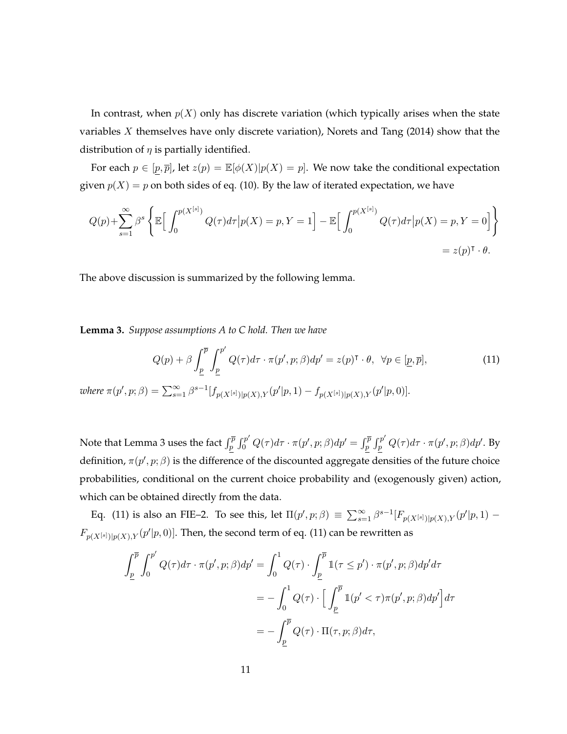In contrast, when  $p(X)$  only has discrete variation (which typically arises when the state variables X themselves have only discrete variation), [Norets and Tang](#page-25-8) [\(2014\)](#page-25-8) show that the distribution of  $\eta$  is partially identified.

For each  $p \in [p, \overline{p}]$ , let  $z(p) = \mathbb{E}[\phi(X)|p(X) = p]$ . We now take the conditional expectation given  $p(X) = p$  on both sides of eq. [\(10\)](#page-9-0). By the law of iterated expectation, we have

$$
Q(p) + \sum_{s=1}^{\infty} \beta^s \left\{ \mathbb{E} \Big[ \int_0^{p(X^{[s]})} Q(\tau) d\tau \Big| p(X) = p, Y = 1 \Big] - \mathbb{E} \Big[ \int_0^{p(X^{[s]})} Q(\tau) d\tau \Big| p(X) = p, Y = 0 \Big] \right\}
$$
  
=  $z(p)^{\intercal} \cdot \theta$ .

The above discussion is summarized by the following lemma.

<span id="page-10-0"></span>**Lemma 3.** *Suppose assumptions [A](#page-5-0) to [C](#page-9-1) hold. Then we have*

<span id="page-10-1"></span>
$$
Q(p) + \beta \int_{\underline{p}}^{\overline{p}} \int_{\underline{p}}^{p'} Q(\tau) d\tau \cdot \pi(p', p; \beta) dp' = z(p)^{\mathsf{T}} \cdot \theta, \ \forall p \in [\underline{p}, \overline{p}], \tag{11}
$$

 $where \ \pi(p', p; \beta) = \sum_{s=1}^{\infty} \beta^{s-1} [f_{p(X^{[s]})|p(X), Y}(p'|p, 1) - f_{p(X^{[s]})|p(X), Y}(p'|p, 0)].$ 

Note that Lemma [3](#page-10-0) uses the fact  $\int_p^{\overline{p}}\int_0^{p'}Q(\tau)d\tau\cdot\pi(p',p;\beta)dp'=\int_p^{\overline{p}}\int_p^{p'}Q(\tau)d\tau\cdot\pi(p',p;\beta)dp'.$  By definition,  $\pi(p', p; \beta)$  is the difference of the discounted aggregate densities of the future choice probabilities, conditional on the current choice probability and (exogenously given) action, which can be obtained directly from the data.

Eq. [\(11\)](#page-10-1) is also an FIE–2. To see this, let  $\Pi(p', p; \beta) \equiv \sum_{s=1}^{\infty} \beta^{s-1} [F_{p(X^{[s]})|p(X), Y}(p'|p, 1) F_{p(X^{[s]})|p(X),Y}(p'|p,0)]$ . Then, the second term of eq. [\(11\)](#page-10-1) can be rewritten as

$$
\int_{\underline{p}}^{\overline{p}} \int_0^{p'} Q(\tau) d\tau \cdot \pi(p', p; \beta) dp' = \int_0^1 Q(\tau) \cdot \int_{\underline{p}}^{\overline{p}} \mathbb{1}(\tau \leq p') \cdot \pi(p', p; \beta) dp' d\tau
$$

$$
= -\int_0^1 Q(\tau) \cdot \Big[ \int_{\underline{p}}^{\overline{p}} \mathbb{1}(p' < \tau) \pi(p', p; \beta) dp' \Big] d\tau
$$

$$
= -\int_{\underline{p}}^{\overline{p}} Q(\tau) \cdot \Pi(\tau, p; \beta) d\tau,
$$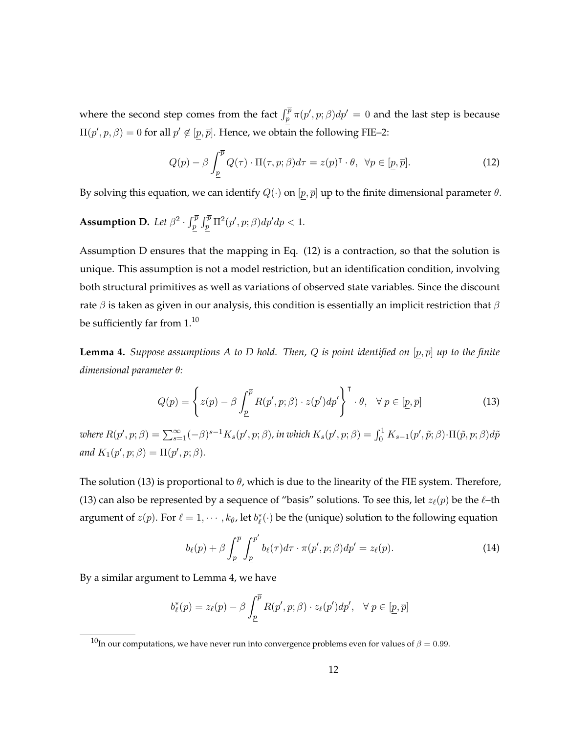where the second step comes from the fact  $\int_p^{\overline{p}} \pi(p', p; \beta) dp' = 0$  and the last step is because  $\Pi(p', p, \beta) = 0$  for all  $p' \notin [p, \overline{p}]$ . Hence, we obtain the following FIE-2:

<span id="page-11-1"></span>
$$
Q(p) - \beta \int_{\underline{p}}^{\overline{p}} Q(\tau) \cdot \Pi(\tau, p; \beta) d\tau = z(p)^{\mathsf{T}} \cdot \theta, \ \ \forall p \in [\underline{p}, \overline{p}]. \tag{12}
$$

By solving this equation, we can identify  $Q(\cdot)$  on  $[p, \overline{p}]$  up to the finite dimensional parameter  $\theta$ .

<span id="page-11-0"></span>**Assumption D.** Let  $\beta^2 \cdot \int_p^{\overline{p}} \int_p^{\overline{p}} \Pi^2(p', p; \beta) dp' dp < 1$ .

Assumption [D](#page-11-0) ensures that the mapping in Eq. [\(12\)](#page-11-1) is a contraction, so that the solution is unique. This assumption is not a model restriction, but an identification condition, involving both structural primitives as well as variations of observed state variables. Since the discount rate  $\beta$  is taken as given in our analysis, this condition is essentially an implicit restriction that  $\beta$ be sufficiently far from 1.<sup>10</sup>

<span id="page-11-3"></span>**Lemma 4.** *Suppose assumptions* [A](#page-5-0) *to* [D](#page-11-0) *hold.* Then, Q *is point identified on*  $[p, \overline{p}]$  *up to the finite dimensional parameter* θ*:*

<span id="page-11-2"></span>
$$
Q(p) = \left\{ z(p) - \beta \int_{\underline{p}}^{\overline{p}} R(p', p; \beta) \cdot z(p') dp' \right\}^{\mathsf{T}} \cdot \theta, \quad \forall \ p \in [\underline{p}, \overline{p}] \tag{13}
$$

 $where R(p',p;\beta)=\sum_{s=1}^{\infty}(-\beta)^{s-1}K_s(p',p;\beta)$ , in which  $K_s(p',p;\beta)=\int_0^1K_{s-1}(p',\tilde{p};\beta)\cdot\Pi(\tilde{p},p;\beta)d\tilde{p}$ and  $K_1(p', p; \beta) = \Pi(p', p; \beta)$ *.* 

The solution [\(13\)](#page-11-2) is proportional to  $\theta$ , which is due to the linearity of the FIE system. Therefore, [\(13\)](#page-11-2) can also be represented by a sequence of "basis" solutions. To see this, let  $z_{\ell}(p)$  be the  $\ell$ –th argument of  $z(p)$ . For  $\ell = 1, \cdots, k_{\theta}$ , let  $b_{\ell}^{*}(\cdot)$  be the (unique) solution to the following equation

<span id="page-11-4"></span>
$$
b_{\ell}(p) + \beta \int_{\underline{p}}^{\overline{p}} \int_{\underline{p}}^{p'} b_{\ell}(\tau) d\tau \cdot \pi(p', p; \beta) dp' = z_{\ell}(p).
$$
 (14)

By a similar argument to Lemma [4,](#page-11-3) we have

$$
b_{\ell}^{*}(p) = z_{\ell}(p) - \beta \int_{\underline{p}}^{\overline{p}} R(p', p; \beta) \cdot z_{\ell}(p') dp', \quad \forall p \in [\underline{p}, \overline{p}]
$$

<sup>&</sup>lt;sup>10</sup>In our computations, we have never run into convergence problems even for values of  $β = 0.99$ .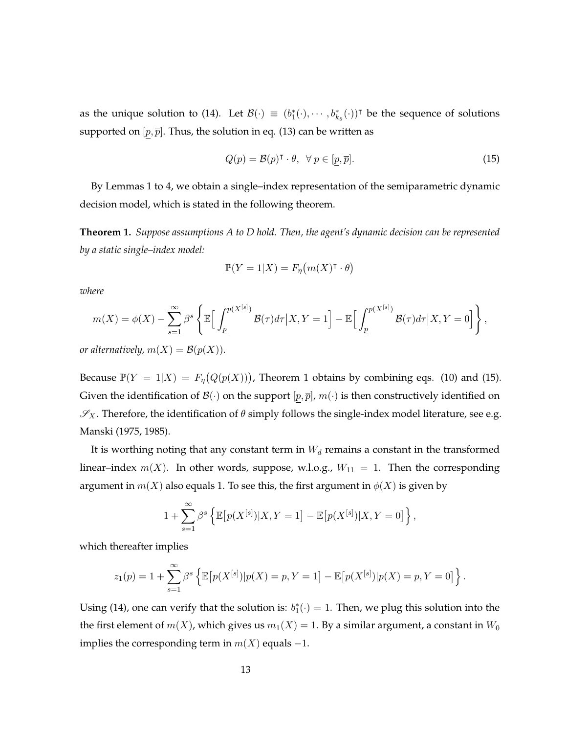as the unique solution to [\(14\)](#page-11-4). Let  $\mathcal{B}(\cdot) \equiv (b_1^*(\cdot), \cdots, b_{k_\theta}^*(\cdot))^{\dagger}$  be the sequence of solutions supported on  $[p, \overline{p}]$ . Thus, the solution in eq. [\(13\)](#page-11-2) can be written as

<span id="page-12-1"></span>
$$
Q(p) = \mathcal{B}(p)^{\mathsf{T}} \cdot \theta, \ \forall \ p \in [p, \overline{p}]. \tag{15}
$$

By Lemmas [1](#page-6-2) to [4,](#page-11-3) we obtain a single–index representation of the semiparametric dynamic decision model, which is stated in the following theorem.

<span id="page-12-0"></span>**Theorem 1.** *Suppose assumptions [A](#page-5-0) to [D](#page-11-0) hold. Then, the agent's dynamic decision can be represented by a static single–index model:*

$$
\mathbb{P}(Y=1|X) = F_{\eta}(m(X)^{\mathsf{T}} \cdot \theta)
$$

*where*

$$
m(X) = \phi(X) - \sum_{s=1}^{\infty} \beta^s \left\{ \mathbb{E} \Big[ \int_{\underline{p}}^{p(X^{[s]})} \mathcal{B}(\tau) d\tau \Big| X, Y = 1 \Big] - \mathbb{E} \Big[ \int_{\underline{p}}^{p(X^{[s]})} \mathcal{B}(\tau) d\tau \Big| X, Y = 0 \Big] \right\},
$$

*or alternatively,*  $m(X) = B(p(X))$ *.* 

Because  $\mathbb{P}(Y = 1 | X) = F_{\eta}(Q(p(X)))$  $\mathbb{P}(Y = 1 | X) = F_{\eta}(Q(p(X)))$  $\mathbb{P}(Y = 1 | X) = F_{\eta}(Q(p(X)))$ , Theorem 1 obtains by combining eqs. [\(10\)](#page-9-0) and [\(15\)](#page-12-1). Given the identification of  $\mathcal{B}(\cdot)$  on the support  $[p, \overline{p}], m(\cdot)$  is then constructively identified on  $\mathscr{S}_X$ . Therefore, the identification of  $\theta$  simply follows the single-index model literature, see e.g. [Manski](#page-24-1) [\(1975,](#page-24-1) [1985\)](#page-24-2).

It is worthing noting that any constant term in  $W_d$  remains a constant in the transformed linear–index  $m(X)$ . In other words, suppose, w.l.o.g.,  $W_{11} = 1$ . Then the corresponding argument in  $m(X)$  also equals 1. To see this, the first argument in  $\phi(X)$  is given by

$$
1 + \sum_{s=1}^{\infty} \beta^s \left\{ \mathbb{E} \left[ p(X^{[s]}) | X, Y = 1 \right] - \mathbb{E} \left[ p(X^{[s]}) | X, Y = 0 \right] \right\},\
$$

which thereafter implies

$$
z_1(p) = 1 + \sum_{s=1}^{\infty} \beta^s \left\{ \mathbb{E} \left[ p(X^{[s]}) | p(X) = p, Y = 1 \right] - \mathbb{E} \left[ p(X^{[s]}) | p(X) = p, Y = 0 \right] \right\}.
$$

Using [\(14\)](#page-11-4), one can verify that the solution is:  $b_1^*(\cdot) = 1$ . Then, we plug this solution into the the first element of  $m(X)$ , which gives us  $m_1(X) = 1$ . By a similar argument, a constant in  $W_0$ implies the corresponding term in  $m(X)$  equals  $-1$ .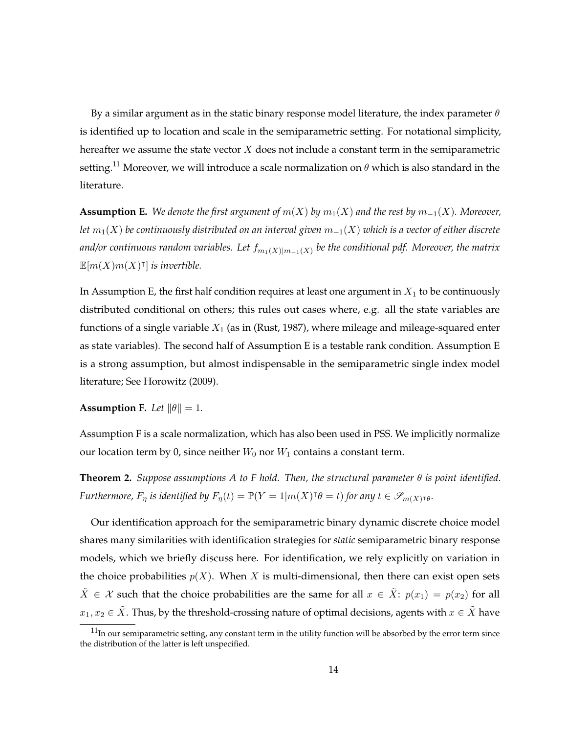By a similar argument as in the static binary response model literature, the index parameter  $\theta$ is identified up to location and scale in the semiparametric setting. For notational simplicity, hereafter we assume the state vector  $X$  does not include a constant term in the semiparametric setting.<sup>11</sup> Moreover, we will introduce a scale normalization on  $\theta$  which is also standard in the literature.

<span id="page-13-0"></span>**Assumption E.** We denote the first argument of  $m(X)$  by  $m_1(X)$  and the rest by  $m_{-1}(X)$ . Moreover, *let* m1(X) *be continuously distributed on an interval given* m−1(X) *which is a vector of either discrete and/or continuous random variables. Let*  $f_{m_1(X)|m_{-1}(X)}$  *be the conditional pdf. Moreover, the matrix*  $\mathbb{E}[m(X)m(X)^{\intercal}]$  is invertible.

In Assumption [E,](#page-13-0) the first half condition requires at least one argument in  $X_1$  to be continuously distributed conditional on others; this rules out cases where, e.g. all the state variables are functions of a single variable  $X_1$  (as in [\(Rust, 1987\)](#page-25-2), where mileage and mileage-squared enter as state variables). The second half of Assumption [E](#page-13-0) is a testable rank condition. Assumption [E](#page-13-0) is a strong assumption, but almost indispensable in the semiparametric single index model literature; See [Horowitz](#page-24-9) [\(2009\)](#page-24-9).

<span id="page-13-1"></span>**Assumption F.** *Let*  $\|\theta\| = 1$ *.* 

Assumption [F](#page-13-1) is a scale normalization, which has also been used in PSS. We implicitly normalize our location term by 0, since neither  $W_0$  nor  $W_1$  contains a constant term.

**Theorem 2.** *Suppose assumptions [A](#page-5-0) to [F](#page-13-1) hold. Then, the structural parameter* θ *is point identified.* Furthermore,  $F_{\eta}$  is identified by  $F_{\eta}(t) = \mathbb{P}(Y = 1 | m(X)^{\dagger} \theta = t)$  for any  $t \in \mathscr{S}_{m(X)^{\dagger} \theta}$ .

Our identification approach for the semiparametric binary dynamic discrete choice model shares many similarities with identification strategies for *static* semiparametric binary response models, which we briefly discuss here. For identification, we rely explicitly on variation in the choice probabilities  $p(X)$ . When X is multi-dimensional, then there can exist open sets  $\tilde{X} \in \mathcal{X}$  such that the choice probabilities are the same for all  $x \in \tilde{X}$ :  $p(x_1) = p(x_2)$  for all  $x_1, x_2 \in \tilde{X}$ . Thus, by the threshold-crossing nature of optimal decisions, agents with  $x \in \tilde{X}$  have

 $11$ In our semiparametric setting, any constant term in the utility function will be absorbed by the error term since the distribution of the latter is left unspecified.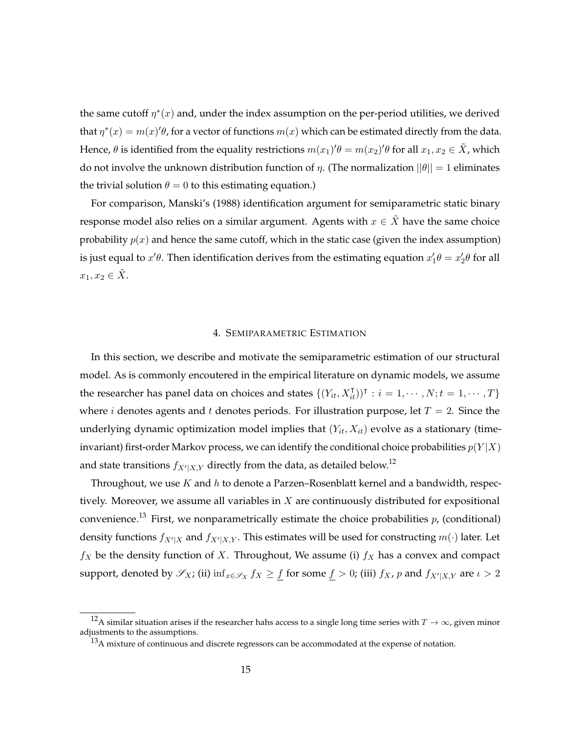the same cutoff  $\eta^*(x)$  and, under the index assumption on the per-period utilities, we derived that  $\eta^*(x) = m(x)'\theta$ , for a vector of functions  $m(x)$  which can be estimated directly from the data. Hence,  $\theta$  is identified from the equality restrictions  $m(x_1)'\theta = m(x_2)'\theta$  for all  $x_1, x_2 \in \tilde{X}$ , which do not involve the unknown distribution function of  $\eta$ . (The normalization  $||\theta|| = 1$  eliminates the trivial solution  $\theta = 0$  to this estimating equation.)

For comparison, Manski's [\(1988\)](#page-24-10) identification argument for semiparametric static binary response model also relies on a similar argument. Agents with  $x \in \tilde{X}$  have the same choice probability  $p(x)$  and hence the same cutoff, which in the static case (given the index assumption) is just equal to  $x'\theta$ . Then identification derives from the estimating equation  $x'_1\theta = x'_2\theta$  for all  $x_1, x_2 \in \tilde{X}$ .

## 4. SEMIPARAMETRIC ESTIMATION

In this section, we describe and motivate the semiparametric estimation of our structural model. As is commonly encoutered in the empirical literature on dynamic models, we assume the researcher has panel data on choices and states  $\{(Y_{it}, X_{it}^{\intercal})^{\intercal} : i = 1, \cdots, N; t = 1, \cdots, T\}$ where *i* denotes agents and *t* denotes periods. For illustration purpose, let  $T = 2$ . Since the underlying dynamic optimization model implies that  $(Y_{it}, X_{it})$  evolve as a stationary (timeinvariant) first-order Markov process, we can identify the conditional choice probabilities  $p(Y|X)$ and state transitions  $f_{X'|X,Y}$  directly from the data, as detailed below.<sup>12</sup>

Throughout, we use  $K$  and  $h$  to denote a Parzen–Rosenblatt kernel and a bandwidth, respectively. Moreover, we assume all variables in  $X$  are continuously distributed for expositional convenience.<sup>13</sup> First, we nonparametrically estimate the choice probabilities  $p$ , (conditional) density functions  $f_{X'|X}$  and  $f_{X'|X,Y}$ . This estimates will be used for constructing  $m(\cdot)$  later. Let  $f_X$  be the density function of X. Throughout, We assume (i)  $f_X$  has a convex and compact support, denoted by  $\mathscr{S}_X$ ; (ii)  $\inf_{x \in \mathscr{S}_X} f_X \ge \underline{f}$  for some  $\underline{f} > 0$ ; (iii)  $f_X$ , p and  $f_{X'|X,Y}$  are  $\iota > 2$ 

<sup>&</sup>lt;sup>12</sup>A similar situation arises if the researcher hahs access to a single long time series with  $T \to \infty$ , given minor adjustments to the assumptions.

<sup>&</sup>lt;sup>13</sup>A mixture of continuous and discrete regressors can be accommodated at the expense of notation.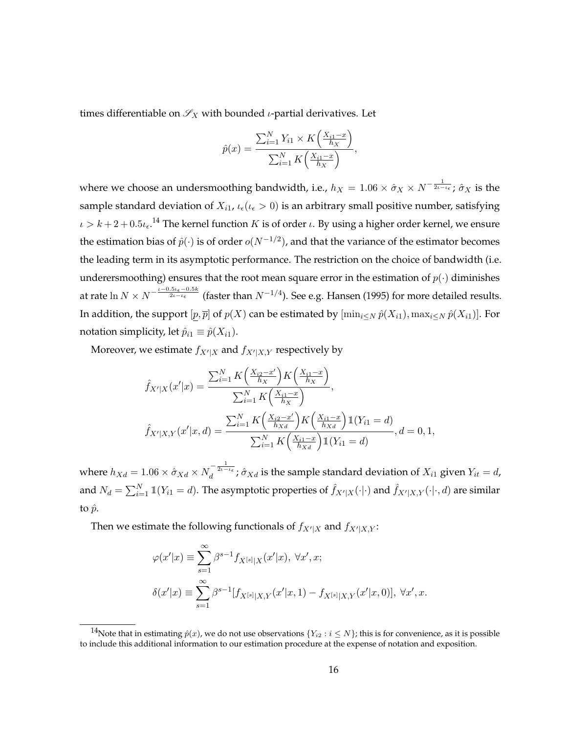times differentiable on  $\mathscr{S}_X$  with bounded *ι*-partial derivatives. Let

$$
\hat{p}(x) = \frac{\sum_{i=1}^{N} Y_{i1} \times K\left(\frac{X_{i1} - x}{h_X}\right)}{\sum_{i=1}^{N} K\left(\frac{X_{i1} - x}{h_X}\right)},
$$

where we choose an undersmoothing bandwidth, i.e.,  $h_X = 1.06 \times \hat{\sigma}_X \times N^{-\frac{1}{2\iota - \iota_{\epsilon}}}$ ;  $\hat{\sigma}_X$  is the sample standard deviation of  $X_{i1}$ ,  $\iota_{\epsilon}(\iota_{\epsilon} > 0)$  is an arbitrary small positive number, satisfying  $\iota > k + 2 + 0.5\iota_\epsilon$ .<sup>14</sup> The kernel function  $K$  is of order  $\iota$ . By using a higher order kernel, we ensure the estimation bias of  $\hat{p}(\cdot)$  is of order  $o(N^{-1/2})$ , and that the variance of the estimator becomes the leading term in its asymptotic performance. The restriction on the choice of bandwidth (i.e. underersmoothing) ensures that the root mean square error in the estimation of  $p(\cdot)$  diminishes at rate  $\ln N \times N^{-\frac{\iota-0.5\iota_\epsilon-0.5k}{2\iota-\iota_\epsilon}}$  (faster than  $N^{-1/4}$ ). See e.g. [Hansen](#page-24-11) [\(1995\)](#page-24-11) for more detailed results. In addition, the support  $[p, \overline{p}]$  of  $p(X)$  can be estimated by  $[\min_{i\leq N} \hat{p}(X_{i1}), \max_{i\leq N} \hat{p}(X_{i1})]$ . For notation simplicity, let  $\hat{p}_{i1} \equiv \hat{p}(X_{i1}).$ 

Moreover, we estimate  $f_{X'|X}$  and  $f_{X'|X,Y}$  respectively by

$$
\hat{f}_{X'|X}(x'|x) = \frac{\sum_{i=1}^{N} K\left(\frac{X_{i2}-x'}{h_X}\right) K\left(\frac{X_{i1}-x}{h_X}\right)}{\sum_{i=1}^{N} K\left(\frac{X_{i1}-x}{h_X}\right)},
$$
\n
$$
\hat{f}_{X'|X,Y}(x'|x,d) = \frac{\sum_{i=1}^{N} K\left(\frac{X_{i2}-x'}{h_X} \right) K\left(\frac{X_{i1}-x}{h_X} \right) \mathbb{1}(Y_{i1}=d)}{\sum_{i=1}^{N} K\left(\frac{X_{i1}-x}{h_X} \right) \mathbb{1}(Y_{i1}=d)}, d=0,1,
$$

where  $h_{Xd}=1.06\times\hat{\sigma}_{Xd}\times N_d^{-\frac{1}{2\iota-\iota\epsilon}}$  ;  $\hat{\sigma}_{Xd}$  is the sample standard deviation of  $X_{i1}$  given  $Y_{it}=d$ , and  $N_d=\sum_{i=1}^N\mathbb{1}(Y_{i1}=d).$  The asymptotic properties of  $\hat{f}_{X'|X}(\cdot|\cdot)$  and  $\hat{f}_{X'|X,Y}(\cdot|\cdot,d)$  are similar to  $\hat{p}$ .

Then we estimate the following functionals of  $f_{X'|X}$  and  $f_{X'|X,Y}$ :

$$
\varphi(x'|x) \equiv \sum_{s=1}^{\infty} \beta^{s-1} f_{X^{[s]}|X}(x'|x), \ \forall x', x;
$$
  

$$
\delta(x'|x) \equiv \sum_{s=1}^{\infty} \beta^{s-1} [f_{X^{[s]}|X,Y}(x'|x, 1) - f_{X^{[s]}|X,Y}(x'|x, 0)], \ \forall x', x.
$$

<sup>&</sup>lt;sup>14</sup>Note that in estimating  $\hat{p}(x)$ , we do not use observations  $\{Y_{i2} : i \leq N\}$ ; this is for convenience, as it is possible to include this additional information to our estimation procedure at the expense of notation and exposition.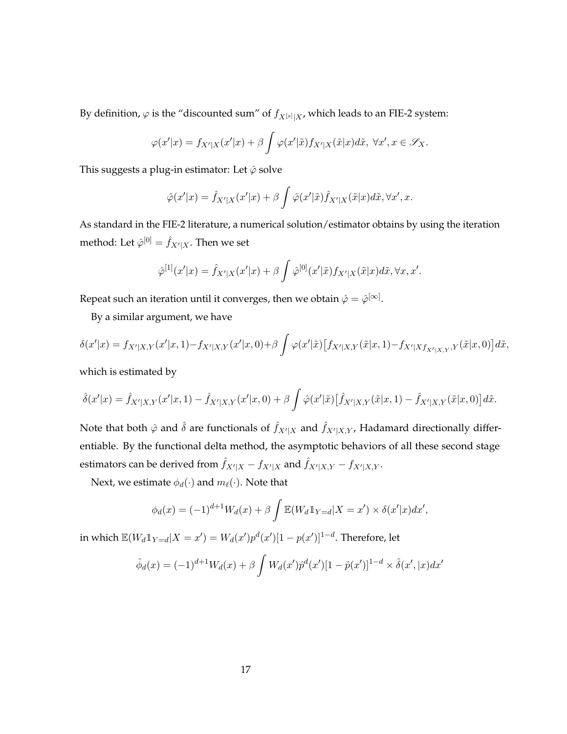By definition,  $\varphi$  is the "discounted sum" of  $f_{X^{[s]}|X}$ , which leads to an FIE-2 system:

$$
\varphi(x'|x) = f_{X'|X}(x'|x) + \beta \int \varphi(x'|\tilde{x}) f_{X'|X}(\tilde{x}|x) d\tilde{x}, \ \forall x', x \in \mathscr{S}_X.
$$

This suggests a plug-in estimator: Let  $\hat{\varphi}$  solve

$$
\hat{\varphi}(x'|x) = \hat{f}_{X'|X}(x'|x) + \beta \int \hat{\varphi}(x'|\tilde{x}) \hat{f}_{X'|X}(\tilde{x}|x) d\tilde{x}, \forall x', x.
$$

As standard in the FIE-2 literature, a numerical solution/estimator obtains by using the iteration method: Let  $\hat{\varphi}^{[0]} = \hat{f}_{X'|X}.$  Then we set

$$
\hat{\varphi}^{[1]}(x'|x) = \hat{f}_{X'|X}(x'|x) + \beta \int \hat{\varphi}^{[0]}(x'|\tilde{x}) f_{X'|X}(\tilde{x}|x) d\tilde{x}, \forall x, x'.
$$

Repeat such an iteration until it converges, then we obtain  $\hat{\varphi}=\hat{\varphi}^{[\infty]}.$ 

By a similar argument, we have

$$
\delta(x'|x) = f_{X'|X,Y}(x'|x,1) - f_{X'|X,Y}(x'|x,0) + \beta \int \varphi(x'|\tilde{x}) \left[ f_{X'|X,Y}(\tilde{x}|x,1) - f_{X'|X} f_{X'|X,Y}(\tilde{x}|x,0) \right] d\tilde{x},
$$

which is estimated by

$$
\hat{\delta}(x'|x) = \hat{f}_{X'|X,Y}(x'|x,1) - \hat{f}_{X'|X,Y}(x'|x,0) + \beta \int \hat{\varphi}(x'|\tilde{x}) \left[ \hat{f}_{X'|X,Y}(\tilde{x}|x,1) - \hat{f}_{X'|X,Y}(\tilde{x}|x,0) \right] d\tilde{x}.
$$

Note that both  $\hat{\varphi}$  and  $\hat{\delta}$  are functionals of  $\hat{f}_{X'|X}$  and  $\hat{f}_{X'|X,Y}$ , Hadamard directionally differentiable. By the functional delta method, the asymptotic behaviors of all these second stage estimators can be derived from  $\hat{f}_{X'|X}$  -  $f_{X'|X}$  and  $\hat{f}_{X'|X,Y}$  -  $f_{X'|X,Y}$  .

Next, we estimate  $\phi_d(\cdot)$  and  $m_\ell(\cdot)$ . Note that

$$
\phi_d(x) = (-1)^{d+1} W_d(x) + \beta \int \mathbb{E}(W_d \mathbb{1}_{Y=d}|X=x') \times \delta(x'|x) dx',
$$

in which  $\mathbb{E}(W_d \mathbb{1}_{Y=d} | X=x') = W_d(x') p^d(x')[1-p(x')]^{1-d}.$  Therefore, let

$$
\hat{\phi}_d(x) = (-1)^{d+1} W_d(x) + \beta \int W_d(x') \hat{p}^d(x') [1 - \hat{p}(x')]^{1-d} \times \hat{\delta}(x', |x) dx'
$$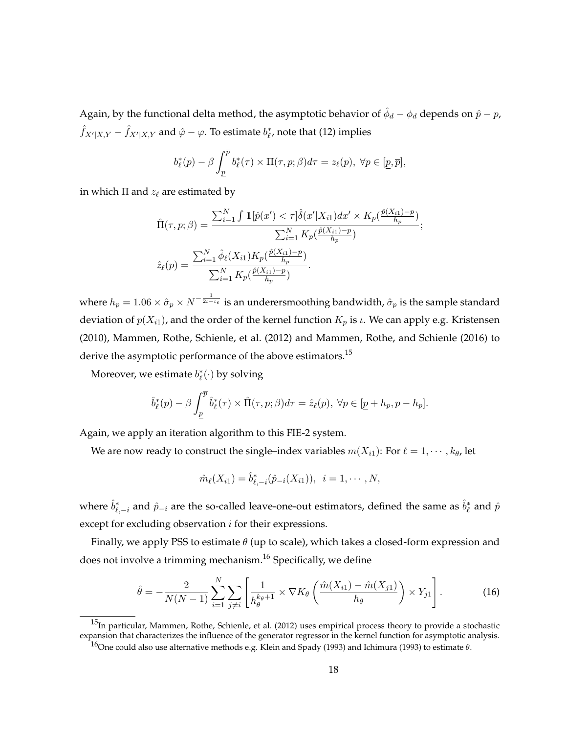Again, by the functional delta method, the asymptotic behavior of  $\hat{\phi}_d-\phi_d$  depends on  $\hat{p}-p$ ,  $\hat{f}_{X'|X,Y} - \hat{f}_{X'|X,Y}$  and  $\hat{\varphi} - \varphi.$  To estimate  $b^*_{\ell'}$ , note that [\(12\)](#page-11-1) implies

$$
b_{\ell}^{*}(p) - \beta \int_{\underline{p}}^{\overline{p}} b_{\ell}^{*}(\tau) \times \Pi(\tau, p; \beta) d\tau = z_{\ell}(p), \ \forall p \in [\underline{p}, \overline{p}],
$$

in which  $\Pi$  and  $z_\ell$  are estimated by

$$
\hat{\Pi}(\tau, p; \beta) = \frac{\sum_{i=1}^{N} \int \mathbb{1}[\hat{p}(x') < \tau] \hat{\delta}(x'|X_{i1}) dx' \times K_p(\frac{\hat{p}(X_{i1}) - p}{h_p})}{\sum_{i=1}^{N} K_p(\frac{\hat{p}(X_{i1}) - p}{h_p})};
$$
\n
$$
\hat{z}_{\ell}(p) = \frac{\sum_{i=1}^{N} \hat{\phi}_{\ell}(X_{i1}) K_p(\frac{\hat{p}(X_{i1}) - p}{h_p})}{\sum_{i=1}^{N} K_p(\frac{\hat{p}(X_{i1}) - p}{h_p})}.
$$

where  $h_p=1.06\times\hat{\sigma}_p\times N^{-\frac{1}{2\iota-\iota_\epsilon}}$  is an underersmoothing bandwidth,  $\hat{\sigma}_p$  is the sample standard deviation of  $p(X_{i1})$ , and the order of the kernel function  $K_p$  is  $\iota$ . We can apply e.g. [Kristensen](#page-24-12) [\(2010\)](#page-24-12), [Mammen, Rothe, Schienle, et al.](#page-24-13) [\(2012\)](#page-24-13) and [Mammen, Rothe, and Schienle](#page-24-14) [\(2016\)](#page-24-14) to derive the asymptotic performance of the above estimators.<sup>15</sup>

Moreover, we estimate  $b_{\ell}^{*}(\cdot)$  by solving

$$
\hat{b}^*_{\ell}(p) - \beta \int_{\underline{p}}^{\overline{p}} \hat{b}^*_{\ell}(\tau) \times \hat{\Pi}(\tau, p; \beta) d\tau = \hat{z}_{\ell}(p), \ \forall p \in [\underline{p} + h_p, \overline{p} - h_p].
$$

Again, we apply an iteration algorithm to this FIE-2 system.

We are now ready to construct the single–index variables  $m(X_{i1})$ : For  $\ell = 1, \dots, k_{\theta}$ , let

$$
\hat{m}_{\ell}(X_{i1}) = \hat{b}_{\ell,-i}^{*}(\hat{p}_{-i}(X_{i1})), \ \ i = 1, \cdots, N,
$$

where  $\hat{b}^*_{\ell,-i}$  and  $\hat{p}_{-i}$  are the so-called leave-one-out estimators, defined the same as  $\hat{b}^*_\ell$  and  $\hat{p}$ except for excluding observation *i* for their expressions.

Finally, we apply PSS to estimate  $\theta$  (up to scale), which takes a closed-form expression and does not involve a trimming mechanism.<sup>16</sup> Specifically, we define

<span id="page-17-0"></span>
$$
\hat{\theta} = -\frac{2}{N(N-1)} \sum_{i=1}^{N} \sum_{j \neq i} \left[ \frac{1}{h_{\theta}^{k_{\theta}+1}} \times \nabla K_{\theta} \left( \frac{\hat{m}(X_{i1}) - \hat{m}(X_{j1})}{h_{\theta}} \right) \times Y_{j1} \right].
$$
 (16)

 $15$ In particular, [Mammen, Rothe, Schienle, et al.](#page-24-13) [\(2012\)](#page-24-13) uses empirical process theory to provide a stochastic expansion that characterizes the influence of the generator regressor in the kernel function for asymptotic analysis.

<sup>16</sup> One could also use alternative methods e.g. [Klein and Spady](#page-24-6) [\(1993\)](#page-24-15) and [Ichimura](#page-24-15) (1993) to estimate  $\theta$ .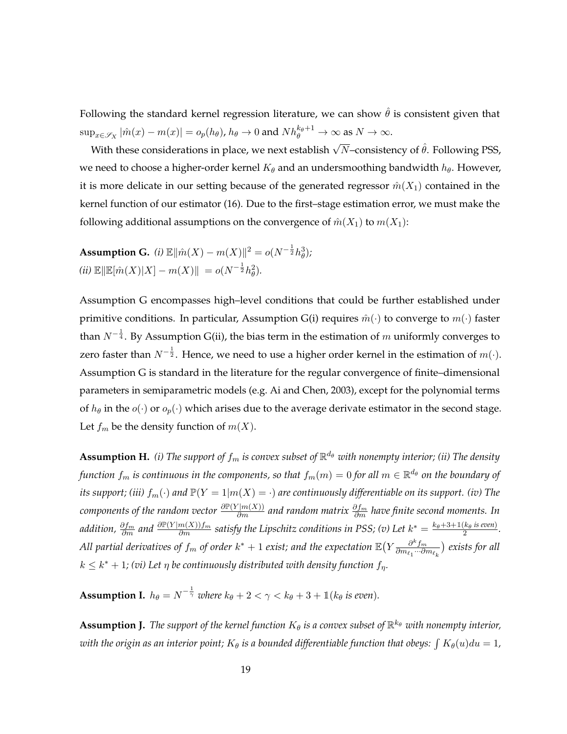Following the standard kernel regression literature, we can show  $\hat{\theta}$  is consistent given that  $\sup_{x\in\mathscr{S}_X}|\hat{m}(x)-m(x)|=o_p(h_\theta)$ ,  $h_\theta\to 0$  and  $Nh_\theta^{k_\theta+1}\to\infty$  as  $N\to\infty$ .

With these considerations in place, we next establish  $\sqrt{N}$ –consistency of  $\hat{\theta}$ . Following PSS, we need to choose a higher-order kernel  $K_{\theta}$  and an undersmoothing bandwidth  $h_{\theta}$ . However, it is more delicate in our setting because of the generated regressor  $\hat{m}(X_1)$  contained in the kernel function of our estimator [\(16\)](#page-17-0). Due to the first–stage estimation error, we must make the following additional assumptions on the convergence of  $\hat{m}(X_1)$  to  $m(X_1)$ :

<span id="page-18-0"></span>**Assumption G.** (i)  $\mathbb{E} \|\hat{m}(X) - m(X)\|^2 = o(N^{-\frac{1}{2}} h_\theta^3);$  $(iii) \mathbb{E} \|\mathbb{E}[\hat{m}(X)|X] - m(X)\| = o(N^{-\frac{1}{2}}h_\theta^2).$ 

Assumption [G](#page-18-0) encompasses high–level conditions that could be further established under primitive conditions. In particular, Assumption [G\(](#page-18-0)i) requires  $\hat{m}(\cdot)$  to converge to  $m(\cdot)$  faster than  $N^{-\frac{1}{4}}.$  By Assumption [G\(](#page-18-0)ii), the bias term in the estimation of  $m$  uniformly converges to zero faster than  $N^{-\frac{1}{2}}.$  Hence, we need to use a higher order kernel in the estimation of  $m(\cdot).$ Assumption [G](#page-18-0) is standard in the literature for the regular convergence of finite–dimensional parameters in semiparametric models (e.g. [Ai and Chen, 2003\)](#page-23-7), except for the polynomial terms of  $h_{\theta}$  in the  $o(\cdot)$  or  $o_p(\cdot)$  which arises due to the average derivate estimator in the second stage. Let  $f_m$  be the density function of  $m(X)$ .

<span id="page-18-1"></span> ${\bf Assumption~H.} \ \ (i)$  The support of  $f_m$  is convex subset of  $\mathbb{R}^{d_\theta}$  with nonempty interior; (ii) The density  $f$ unction  $f_m$  is continuous in the components, so that  $f_m(m)=0$  for all  $m\in\mathbb{R}^{d_\theta}$  on the boundary of *its support; (iii)*  $f_m(\cdot)$  *and*  $\mathbb{P}(Y = 1 | m(X) = \cdot)$  *are continuously differentiable on its support. (iv)* The *components of the random vector* <sup>∂</sup>P(<sup>Y</sup> <sup>|</sup>m(X)) ∂m *and random matrix* ∂f<sup>m</sup> ∂m *have finite second moments. In* addition,  $\frac{\partial f_m}{\partial m}$  and  $\frac{\partial \mathbb{P}(Y|m(X))f_m}{\partial m}$  satisfy the Lipschitz conditions in PSS; (v) Let  $k^*=\frac{k_\theta+3+1(k_\theta\text{ is even})}{2}$  $\frac{\kappa_{\theta}$  is even). All partial derivatives of  $f_m$  of order  $k^*+1$  exist; and the expectation  $\mathbb{E}\big(Y\frac{\partial^k f_m}{\partial m_\ell\ldots\partial\ell^n}\big)$  $\frac{\partial^{\alpha} f_{m}}{\partial m_{\ell_1} \cdots \partial m_{\ell_k}}$ ) exists for all  $k \leq k^* + 1$ ; (vi) Let  $\eta$  be continuously distributed with density function  $f_{\eta}$ .

<span id="page-18-3"></span>**Assumption I.**  $h_{\theta} = N^{-\frac{1}{\gamma}}$  where  $k_{\theta} + 2 < \gamma < k_{\theta} + 3 + \mathbb{1} (k_{\theta} \text{ is even}).$ 

<span id="page-18-2"></span> ${\bf Assumption~J.}$  *The support of the kernel function*  $K_{\theta}$  *is a convex subset of*  $\mathbb{R}^{k_{\theta}}$  *with nonempty interior,* with the origin as an interior point;  $K_{\theta}$  is a bounded differentiable function that obeys:  $\int K_{\theta}(u)du=1$ ,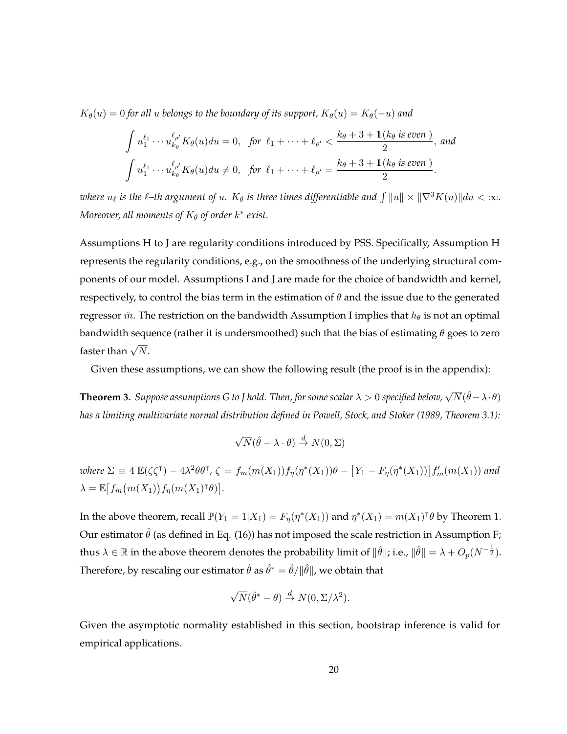$K_{\theta}(u) = 0$  *for all* u *belongs to the boundary of its support,*  $K_{\theta}(u) = K_{\theta}(-u)$  *and* 

$$
\int u_1^{\ell_1} \cdots u_{k_\theta}^{\ell_{\rho'}} K_\theta(u) du = 0, \text{ for } \ell_1 + \cdots + \ell_{\rho'} < \frac{k_\theta + 3 + \mathbb{1}(k_\theta \text{ is even})}{2}, \text{ and}
$$

$$
\int u_1^{\ell_1} \cdots u_{k_\theta}^{\ell_{\rho'}} K_\theta(u) du \neq 0, \text{ for } \ell_1 + \cdots + \ell_{\rho'} = \frac{k_\theta + 3 + \mathbb{1}(k_\theta \text{ is even})}{2}.
$$

where  $u_\ell$  is the  $\ell$ –th argument of  $u$ *.*  $K_\theta$  *is three times differentiable and*  $\int \|u\| \times \|\nabla^3 K(u)\| du < \infty$ *. Moreover, all moments of K<sub>θ</sub> of order k\* exist.* 

Assumptions [H](#page-18-1) to [J](#page-18-2) are regularity conditions introduced by PSS. Specifically, Assumption [H](#page-18-1) represents the regularity conditions, e.g., on the smoothness of the underlying structural components of our model. Assumptions [I](#page-18-3) and [J](#page-18-2) are made for the choice of bandwidth and kernel, respectively, to control the bias term in the estimation of  $\theta$  and the issue due to the generated regressor  $\hat{m}$ . The restriction on the bandwidth Assumption [I](#page-18-3) implies that  $h_{\theta}$  is not an optimal bandwidth sequence (rather it is undersmoothed) such that the bias of estimating  $\theta$  goes to zero faster than  $\sqrt{N}$ .

Given these assumptions, we can show the following result (the proof is in the appendix):

<span id="page-19-0"></span> $\bf Theorem~3.~\it Suppose~assumptions~G~to~J~hold.~Then, for some~scalar~\lambda>0~specificed~below, \sqrt{N}(\hat{\theta}-\lambda\cdot\theta)$ *has a limiting multivariate normal distribution defined in [Powell, Stock, and Stoker](#page-25-6) [\(1989,](#page-25-6) Theorem 3.1):*

$$
\sqrt{N}(\hat{\theta} - \lambda \cdot \theta) \stackrel{d}{\rightarrow} N(0, \Sigma)
$$

 $where \ \Sigma \equiv 4 \ \mathbb{E}(\zeta \zeta^{\dagger}) - 4\lambda^2 \theta \theta^{\dagger}$ ,  $\zeta = f_m(m(X_1)) f_\eta(\eta^*(X_1)) \theta - [Y_1 - F_\eta(\eta^*(X_1))] f'_m(m(X_1))$  and  $\lambda = \mathbb{E} \left[ f_m(m(X_1)) f_\eta(m(X_1)^\mathsf{T} \theta) \right].$ 

In the above theorem, recall  $\mathbb{P}(Y_1 = 1 | X_1) = F_{\eta}(\eta^*(X_1))$  and  $\eta^*(X_1) = m(X_1)^{\dagger} \theta$  by Theorem [1.](#page-12-0) Our estimator  $\hat{\theta}$  (as defined in Eq. [\(16\)](#page-17-0)) has not imposed the scale restriction in Assumption [F;](#page-13-1) thus  $\lambda\in\mathbb R$  in the above theorem denotes the probability limit of  $\|\hat\theta\|$ ; i.e.,  $\|\hat\theta\|=\lambda+O_p(N^{-\frac{1}{2}}).$ Therefore, by rescaling our estimator  $\hat{\theta}$  as  $\hat{\theta}^* = \hat{\theta}/\|\hat{\theta}\|$ , we obtain that

$$
\sqrt{N}(\hat{\theta}^* - \theta) \stackrel{d}{\rightarrow} N(0, \Sigma/\lambda^2).
$$

Given the asymptotic normality established in this section, bootstrap inference is valid for empirical applications.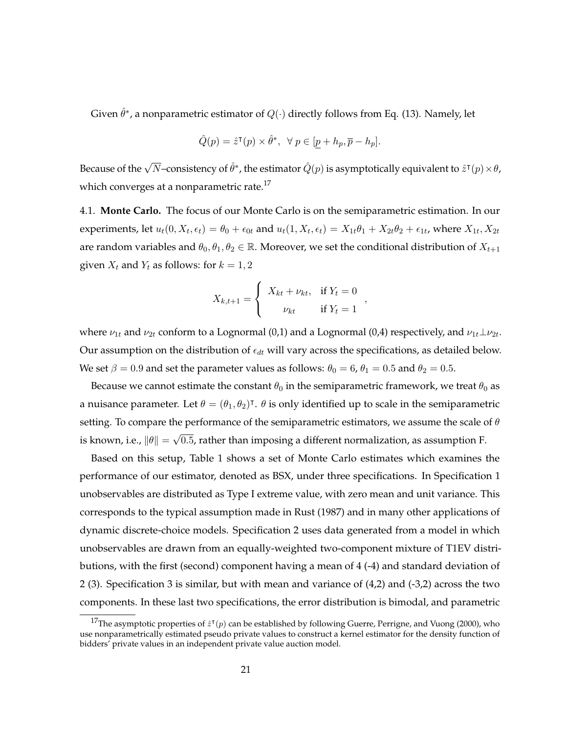Given  $\hat{\theta}^*$ , a nonparametric estimator of  $Q(\cdot)$  directly follows from Eq. [\(13\)](#page-11-2). Namely, let

$$
\hat{Q}(p) = \hat{z}^{\mathsf{T}}(p) \times \hat{\theta}^*, \ \ \forall \ p \in [p + h_p, \overline{p} - h_p].
$$

Because of the  $\sqrt{N}-$ consistency of  $\hat{\theta}^*$ , the estimator  $\hat{Q}(p)$  is asymptotically equivalent to  $\hat{z}^\intercal(p)\!\times\!\theta$ , which converges at a nonparametric rate.<sup>17</sup>

4.1. **Monte Carlo.** The focus of our Monte Carlo is on the semiparametric estimation. In our experiments, let  $u_t(0, X_t, \epsilon_t) = \theta_0 + \epsilon_{0t}$  and  $u_t(1, X_t, \epsilon_t) = X_{1t}\theta_1 + X_{2t}\theta_2 + \epsilon_{1t}$ , where  $X_{1t}, X_{2t}$ are random variables and  $\theta_0, \theta_1, \theta_2 \in \mathbb{R}$ . Moreover, we set the conditional distribution of  $X_{t+1}$ given  $X_t$  and  $Y_t$  as follows: for  $k = 1, 2$ 

$$
X_{k,t+1} = \begin{cases} X_{kt} + \nu_{kt}, & \text{if } Y_t = 0 \\ \nu_{kt} & \text{if } Y_t = 1 \end{cases}
$$

where  $\nu_{1t}$  and  $\nu_{2t}$  conform to a Lognormal (0,1) and a Lognormal (0,4) respectively, and  $\nu_{1t}\bot\nu_{2t}$ . Our assumption on the distribution of  $\epsilon_{dt}$  will vary across the specifications, as detailed below. We set  $\beta = 0.9$  and set the parameter values as follows:  $\theta_0 = 6$ ,  $\theta_1 = 0.5$  and  $\theta_2 = 0.5$ .

Because we cannot estimate the constant  $\theta_0$  in the semiparametric framework, we treat  $\theta_0$  as a nuisance parameter. Let  $\theta = (\theta_1, \theta_2)^{\dagger}$ .  $\theta$  is only identified up to scale in the semiparametric setting. To compare the performance of the semiparametric estimators, we assume the scale of  $\theta$ is known, i.e.,  $\|\theta\| =$ √ 0.5, rather than imposing a different normalization, as assumption [F.](#page-13-1)

Based on this setup, Table [1](#page-21-0) shows a set of Monte Carlo estimates which examines the performance of our estimator, denoted as BSX, under three specifications. In Specification 1 unobservables are distributed as Type I extreme value, with zero mean and unit variance. This corresponds to the typical assumption made in [Rust](#page-25-2) [\(1987\)](#page-25-2) and in many other applications of dynamic discrete-choice models. Specification 2 uses data generated from a model in which unobservables are drawn from an equally-weighted two-component mixture of T1EV distributions, with the first (second) component having a mean of 4 (-4) and standard deviation of 2 (3). Specification 3 is similar, but with mean and variance of (4,2) and (-3,2) across the two components. In these last two specifications, the error distribution is bimodal, and parametric

<sup>&</sup>lt;sup>17</sup>The asymptotic properties of  $\hat{z}^\intercal(p)$  can be established by following [Guerre, Perrigne, and Vuong](#page-23-8) [\(2000\)](#page-23-8), who use nonparametrically estimated pseudo private values to construct a kernel estimator for the density function of bidders' private values in an independent private value auction model.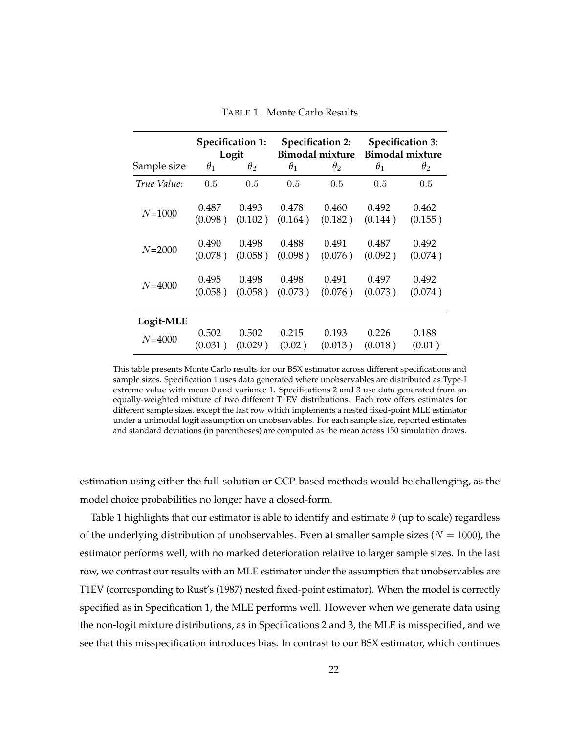<span id="page-21-0"></span>

|             | <b>Specification 1:</b> |            | <b>Specification 2:</b> |            | <b>Specification 3:</b> |            |
|-------------|-------------------------|------------|-------------------------|------------|-------------------------|------------|
|             | Logit                   |            | <b>Bimodal mixture</b>  |            | <b>Bimodal mixture</b>  |            |
| Sample size | $\theta_1$              | $\theta_2$ | $\theta_1$              | $\theta_2$ | $\theta_1$              | $\theta_2$ |
| True Value: | 0.5                     | 0.5        | 0.5                     | 0.5        | 0.5                     | 0.5        |
| $N = 1000$  | 0.487                   | 0.493      | 0.478                   | 0.460      | 0.492                   | 0.462      |
|             | (0.098)                 | (0.102)    | (0.164)                 | (0.182)    | (0.144)                 | (0.155)    |
| $N = 2000$  | 0.490                   | 0.498      | 0.488                   | 0.491      | 0.487                   | 0.492      |
|             | (0.078)                 | (0.058)    | (0.098)                 | (0.076)    | (0.092)                 | (0.074)    |
| $N = 4000$  | 0.495                   | 0.498      | 0.498                   | 0.491      | 0.497                   | 0.492      |
|             | (0.058)                 | (0.058)    | (0.073)                 | (0.076)    | (0.073)                 | (0.074)    |
| Logit-MLE   |                         |            |                         |            |                         |            |
| $N = 4000$  | 0.502                   | 0.502      | 0.215                   | 0.193      | 0.226                   | 0.188      |
|             | (0.031)                 | (0.029)    | (0.02)                  | (0.013)    | (0.018)                 | (0.01)     |

TABLE 1. Monte Carlo Results

This table presents Monte Carlo results for our BSX estimator across different specifications and sample sizes. Specification 1 uses data generated where unobservables are distributed as Type-I extreme value with mean 0 and variance 1. Specifications 2 and 3 use data generated from an equally-weighted mixture of two different T1EV distributions. Each row offers estimates for different sample sizes, except the last row which implements a nested fixed-point MLE estimator under a unimodal logit assumption on unobservables. For each sample size, reported estimates and standard deviations (in parentheses) are computed as the mean across 150 simulation draws.

estimation using either the full-solution or CCP-based methods would be challenging, as the model choice probabilities no longer have a closed-form.

Table [1](#page-21-0) highlights that our estimator is able to identify and estimate  $\theta$  (up to scale) regardless of the underlying distribution of unobservables. Even at smaller sample sizes ( $N = 1000$ ), the estimator performs well, with no marked deterioration relative to larger sample sizes. In the last row, we contrast our results with an MLE estimator under the assumption that unobservables are T1EV (corresponding to Rust's (1987) nested fixed-point estimator). When the model is correctly specified as in Specification 1, the MLE performs well. However when we generate data using the non-logit mixture distributions, as in Specifications 2 and 3, the MLE is misspecified, and we see that this misspecification introduces bias. In contrast to our BSX estimator, which continues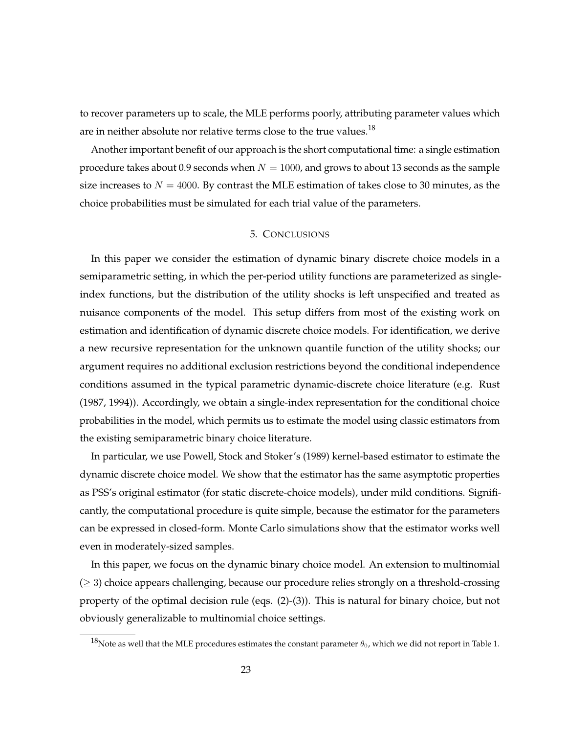to recover parameters up to scale, the MLE performs poorly, attributing parameter values which are in neither absolute nor relative terms close to the true values. $^{18}$ 

Another important benefit of our approach is the short computational time: a single estimation procedure takes about 0.9 seconds when  $N = 1000$ , and grows to about 13 seconds as the sample size increases to  $N = 4000$ . By contrast the MLE estimation of takes close to 30 minutes, as the choice probabilities must be simulated for each trial value of the parameters.

# 5. CONCLUSIONS

In this paper we consider the estimation of dynamic binary discrete choice models in a semiparametric setting, in which the per-period utility functions are parameterized as singleindex functions, but the distribution of the utility shocks is left unspecified and treated as nuisance components of the model. This setup differs from most of the existing work on estimation and identification of dynamic discrete choice models. For identification, we derive a new recursive representation for the unknown quantile function of the utility shocks; our argument requires no additional exclusion restrictions beyond the conditional independence conditions assumed in the typical parametric dynamic-discrete choice literature (e.g. Rust (1987, 1994)). Accordingly, we obtain a single-index representation for the conditional choice probabilities in the model, which permits us to estimate the model using classic estimators from the existing semiparametric binary choice literature.

In particular, we use Powell, Stock and Stoker's [\(1989\)](#page-25-6) kernel-based estimator to estimate the dynamic discrete choice model. We show that the estimator has the same asymptotic properties as PSS's original estimator (for static discrete-choice models), under mild conditions. Significantly, the computational procedure is quite simple, because the estimator for the parameters can be expressed in closed-form. Monte Carlo simulations show that the estimator works well even in moderately-sized samples.

In this paper, we focus on the dynamic binary choice model. An extension to multinomial  $(≥ 3)$  choice appears challenging, because our procedure relies strongly on a threshold-crossing property of the optimal decision rule (eqs. [\(2\)](#page-5-4)-[\(3\)](#page-5-2)). This is natural for binary choice, but not obviously generalizable to multinomial choice settings.

<sup>&</sup>lt;sup>18</sup>Note as well that the MLE procedures estimates the constant parameter  $\theta_0$ , which we did not report in Table [1.](#page-21-0)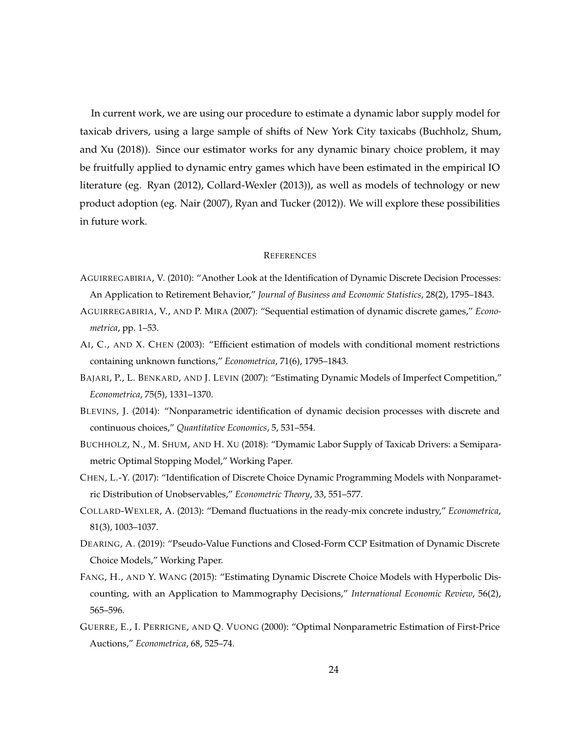In current work, we are using our procedure to estimate a dynamic labor supply model for taxicab drivers, using a large sample of shifts of New York City taxicabs [\(Buchholz, Shum,](#page-23-9) [and Xu](#page-23-9) [\(2018\)](#page-23-9)). Since our estimator works for any dynamic binary choice problem, it may be fruitfully applied to dynamic entry games which have been estimated in the empirical IO literature (eg. [Ryan](#page-25-12) [\(2012\)](#page-25-12), [Collard-Wexler](#page-23-10) [\(2013\)](#page-23-10)), as well as models of technology or new product adoption (eg. [Nair](#page-25-13) [\(2007\)](#page-25-13), [Ryan and Tucker](#page-25-14) [\(2012\)](#page-25-14)). We will explore these possibilities in future work.

### **REFERENCES**

- <span id="page-23-0"></span>AGUIRREGABIRIA, V. (2010): "Another Look at the Identification of Dynamic Discrete Decision Processes: An Application to Retirement Behavior," *Journal of Business and Economic Statistics*, 28(2), 1795–1843.
- <span id="page-23-6"></span>AGUIRREGABIRIA, V., AND P. MIRA (2007): "Sequential estimation of dynamic discrete games," *Econometrica*, pp. 1–53.
- <span id="page-23-7"></span>AI, C., AND X. CHEN (2003): "Efficient estimation of models with conditional moment restrictions containing unknown functions," *Econometrica*, 71(6), 1795–1843.
- <span id="page-23-5"></span>BAJARI, P., L. BENKARD, AND J. LEVIN (2007): "Estimating Dynamic Models of Imperfect Competition," *Econometrica*, 75(5), 1331–1370.
- <span id="page-23-1"></span>BLEVINS, J. (2014): "Nonparametric identification of dynamic decision processes with discrete and continuous choices," *Quantitative Economics*, 5, 531–554.
- <span id="page-23-9"></span>BUCHHOLZ, N., M. SHUM, AND H. XU (2018): "Dymamic Labor Supply of Taxicab Drivers: a Semiparametric Optimal Stopping Model," Working Paper.
- <span id="page-23-2"></span>CHEN, L.-Y. (2017): "Identification of Discrete Choice Dynamic Programming Models with Nonparametric Distribution of Unobservables," *Econometric Theory*, 33, 551–577.
- <span id="page-23-10"></span>COLLARD-WEXLER, A. (2013): "Demand fluctuations in the ready-mix concrete industry," *Econometrica*, 81(3), 1003–1037.
- <span id="page-23-3"></span>DEARING, A. (2019): "Pseudo-Value Functions and Closed-Form CCP Esitmation of Dynamic Discrete Choice Models," Working Paper.
- <span id="page-23-4"></span>FANG, H., AND Y. WANG (2015): "Estimating Dynamic Discrete Choice Models with Hyperbolic Discounting, with an Application to Mammography Decisions," *International Economic Review*, 56(2), 565–596.
- <span id="page-23-8"></span>GUERRE, E., I. PERRIGNE, AND Q. VUONG (2000): "Optimal Nonparametric Estimation of First-Price Auctions," *Econometrica*, 68, 525–74.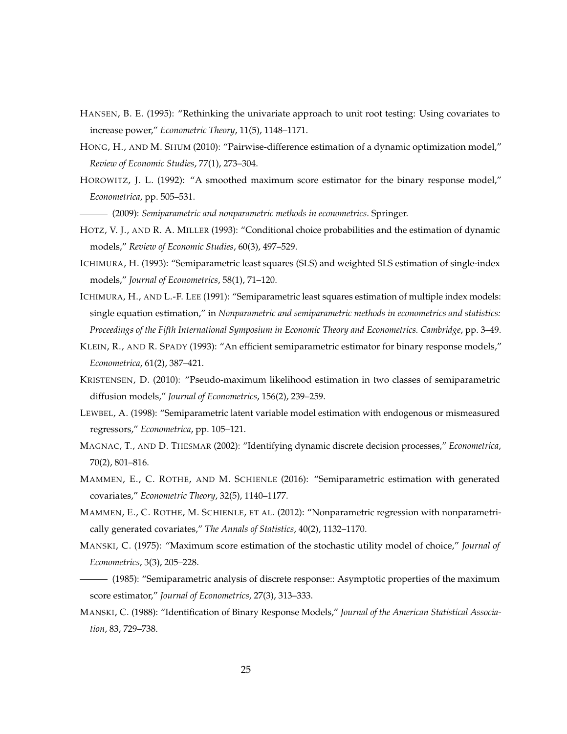- <span id="page-24-11"></span>HANSEN, B. E. (1995): "Rethinking the univariate approach to unit root testing: Using covariates to increase power," *Econometric Theory*, 11(5), 1148–1171.
- <span id="page-24-8"></span>HONG, H., AND M. SHUM (2010): "Pairwise-difference estimation of a dynamic optimization model," *Review of Economic Studies*, 77(1), 273–304.
- <span id="page-24-4"></span>HOROWITZ, J. L. (1992): "A smoothed maximum score estimator for the binary response model," *Econometrica*, pp. 505–531.
- <span id="page-24-9"></span>(2009): *Semiparametric and nonparametric methods in econometrics*. Springer.
- <span id="page-24-7"></span>HOTZ, V. J., AND R. A. MILLER (1993): "Conditional choice probabilities and the estimation of dynamic models," *Review of Economic Studies*, 60(3), 497–529.
- <span id="page-24-15"></span>ICHIMURA, H. (1993): "Semiparametric least squares (SLS) and weighted SLS estimation of single-index models," *Journal of Econometrics*, 58(1), 71–120.
- <span id="page-24-3"></span>ICHIMURA, H., AND L.-F. LEE (1991): "Semiparametric least squares estimation of multiple index models: single equation estimation," in *Nonparametric and semiparametric methods in econometrics and statistics: Proceedings of the Fifth International Symposium in Economic Theory and Econometrics. Cambridge*, pp. 3–49.
- <span id="page-24-6"></span>KLEIN, R., AND R. SPADY (1993): "An efficient semiparametric estimator for binary response models," *Econometrica*, 61(2), 387–421.
- <span id="page-24-12"></span>KRISTENSEN, D. (2010): "Pseudo-maximum likelihood estimation in two classes of semiparametric diffusion models," *Journal of Econometrics*, 156(2), 239–259.
- <span id="page-24-5"></span>LEWBEL, A. (1998): "Semiparametric latent variable model estimation with endogenous or mismeasured regressors," *Econometrica*, pp. 105–121.
- <span id="page-24-0"></span>MAGNAC, T., AND D. THESMAR (2002): "Identifying dynamic discrete decision processes," *Econometrica*, 70(2), 801–816.
- <span id="page-24-14"></span>MAMMEN, E., C. ROTHE, AND M. SCHIENLE (2016): "Semiparametric estimation with generated covariates," *Econometric Theory*, 32(5), 1140–1177.
- <span id="page-24-13"></span>MAMMEN, E., C. ROTHE, M. SCHIENLE, ET AL. (2012): "Nonparametric regression with nonparametrically generated covariates," *The Annals of Statistics*, 40(2), 1132–1170.
- <span id="page-24-1"></span>MANSKI, C. (1975): "Maximum score estimation of the stochastic utility model of choice," *Journal of Econometrics*, 3(3), 205–228.
- <span id="page-24-2"></span>(1985): "Semiparametric analysis of discrete response:: Asymptotic properties of the maximum score estimator," *Journal of Econometrics*, 27(3), 313–333.
- <span id="page-24-10"></span>MANSKI, C. (1988): "Identification of Binary Response Models," *Journal of the American Statistical Association*, 83, 729–738.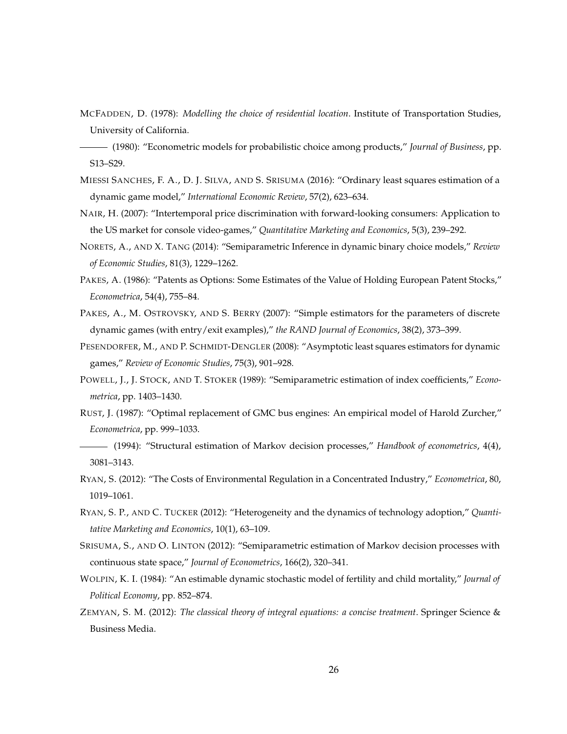<span id="page-25-4"></span>MCFADDEN, D. (1978): *Modelling the choice of residential location*. Institute of Transportation Studies, University of California.

- <span id="page-25-9"></span>MIESSI SANCHES, F. A., D. J. SILVA, AND S. SRISUMA (2016): "Ordinary least squares estimation of a dynamic game model," *International Economic Review*, 57(2), 623–634.
- <span id="page-25-13"></span>NAIR, H. (2007): "Intertemporal price discrimination with forward-looking consumers: Application to the US market for console video-games," *Quantitative Marketing and Economics*, 5(3), 239–292.
- <span id="page-25-8"></span>NORETS, A., AND X. TANG (2014): "Semiparametric Inference in dynamic binary choice models," *Review of Economic Studies*, 81(3), 1229–1262.
- <span id="page-25-1"></span>PAKES, A. (1986): "Patents as Options: Some Estimates of the Value of Holding European Patent Stocks," *Econometrica*, 54(4), 755–84.
- <span id="page-25-10"></span>PAKES, A., M. OSTROVSKY, AND S. BERRY (2007): "Simple estimators for the parameters of discrete dynamic games (with entry/exit examples)," *the RAND Journal of Economics*, 38(2), 373–399.
- <span id="page-25-11"></span>PESENDORFER, M., AND P. SCHMIDT-DENGLER (2008): "Asymptotic least squares estimators for dynamic games," *Review of Economic Studies*, 75(3), 901–928.
- <span id="page-25-6"></span>POWELL, J., J. STOCK, AND T. STOKER (1989): "Semiparametric estimation of index coefficients," *Econometrica*, pp. 1403–1430.
- <span id="page-25-2"></span>RUST, J. (1987): "Optimal replacement of GMC bus engines: An empirical model of Harold Zurcher," *Econometrica*, pp. 999–1033.
- <span id="page-25-3"></span>(1994): "Structural estimation of Markov decision processes," *Handbook of econometrics*, 4(4), 3081–3143.
- <span id="page-25-12"></span>RYAN, S. (2012): "The Costs of Environmental Regulation in a Concentrated Industry," *Econometrica*, 80, 1019–1061.
- <span id="page-25-14"></span>RYAN, S. P., AND C. TUCKER (2012): "Heterogeneity and the dynamics of technology adoption," *Quantitative Marketing and Economics*, 10(1), 63–109.
- <span id="page-25-7"></span>SRISUMA, S., AND O. LINTON (2012): "Semiparametric estimation of Markov decision processes with continuous state space," *Journal of Econometrics*, 166(2), 320–341.
- <span id="page-25-0"></span>WOLPIN, K. I. (1984): "An estimable dynamic stochastic model of fertility and child mortality," *Journal of Political Economy*, pp. 852–874.
- <span id="page-25-15"></span>ZEMYAN, S. M. (2012): *The classical theory of integral equations: a concise treatment*. Springer Science & Business Media.

<span id="page-25-5"></span><sup>(1980): &</sup>quot;Econometric models for probabilistic choice among products," *Journal of Business*, pp. S13–S29.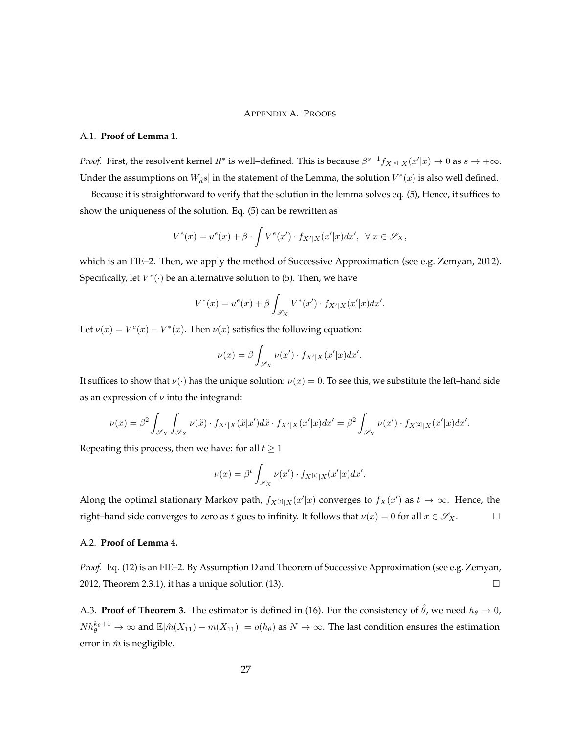## APPENDIX A. PROOFS

#### A.1. **Proof of Lemma [1.](#page-6-2)**

*Proof.* First, the resolvent kernel  $R^*$  is well–defined. This is because  $\beta^{s-1}f_{X^{[s]}|X}(x'|x) \to 0$  as  $s \to +\infty$ . Under the assumptions on  $W_d^\dag$  $\mathcal{A}_{d}^{[s]}$  in the statement of the Lemma, the solution  $V^{e}(x)$  is also well defined.

Because it is straightforward to verify that the solution in the lemma solves eq. [\(5\)](#page-5-1), Hence, it suffices to show the uniqueness of the solution. Eq. [\(5\)](#page-5-1) can be rewritten as

$$
V^{e}(x) = u^{e}(x) + \beta \cdot \int V^{e}(x') \cdot f_{X'|X}(x'|x) dx', \ \ \forall \ x \in \mathscr{S}_{X},
$$

which is an FIE–2. Then, we apply the method of Successive Approximation (see e.g. [Zemyan, 2012\)](#page-25-15). Specifically, let  $V^*(\cdot)$  be an alternative solution to [\(5\)](#page-5-1). Then, we have

$$
V^*(x) = u^e(x) + \beta \int_{\mathscr{S}_X} V^*(x') \cdot f_{X'|X}(x'|x) dx'.
$$

Let  $\nu(x) = V^e(x) - V^*(x)$ . Then  $\nu(x)$  satisfies the following equation:

$$
\nu(x) = \beta \int_{\mathscr{S}_X} \nu(x') \cdot f_{X'|X}(x'|x) dx'.
$$

It suffices to show that  $\nu(\cdot)$  has the unique solution:  $\nu(x) = 0$ . To see this, we substitute the left–hand side as an expression of  $\nu$  into the integrand:

$$
\nu(x)=\beta^2\int_{\mathscr{S}_X}\int_{\mathscr{S}_X}\nu(\tilde{x})\cdot f_{X'|X}(\tilde{x}|x')d\tilde{x}\cdot f_{X'|X}(x'|x)dx'=\beta^2\int_{\mathscr{S}_X}\nu(x')\cdot f_{X^{[2]}|X}(x'|x)dx'.
$$

Repeating this process, then we have: for all  $t \geq 1$ 

$$
\nu(x) = \beta^t \int_{\mathscr{S}_X} \nu(x') \cdot f_{X^{[t]}|X}(x'|x) dx'.
$$

Along the optimal stationary Markov path,  $f_{X^{[t]}|X}(x'|x)$  converges to  $f_X(x')$  as  $t \to \infty$ . Hence, the right–hand side converges to zero as t goes to infinity. It follows that  $\nu(x) = 0$  for all  $x \in \mathscr{S}_X$ .

#### A.2. **Proof of Lemma [4.](#page-11-3)**

*Proof.* Eq. [\(12\)](#page-11-1) is an FIE–2. By Assumption [D](#page-11-0) and Theorem of Successive Approximation (see e.g. [Zemyan,](#page-25-15) [2012,](#page-25-15) Theorem 2.3.1), it has a unique solution [\(13\)](#page-11-2).  $\square$ 

A.3. **Proof of Theorem [3.](#page-19-0)** The estimator is defined in [\(16\)](#page-17-0). For the consistency of  $\hat{\theta}$ , we need  $h_{\theta} \to 0$ ,  $Nh_{\theta}^{k_{\theta}+1}\to\infty$  and  $\mathbb{E}|\hat{m}(X_{11})-m(X_{11})|=o(h_{\theta})$  as  $N\to\infty.$  The last condition ensures the estimation error in  $\hat{m}$  is negligible.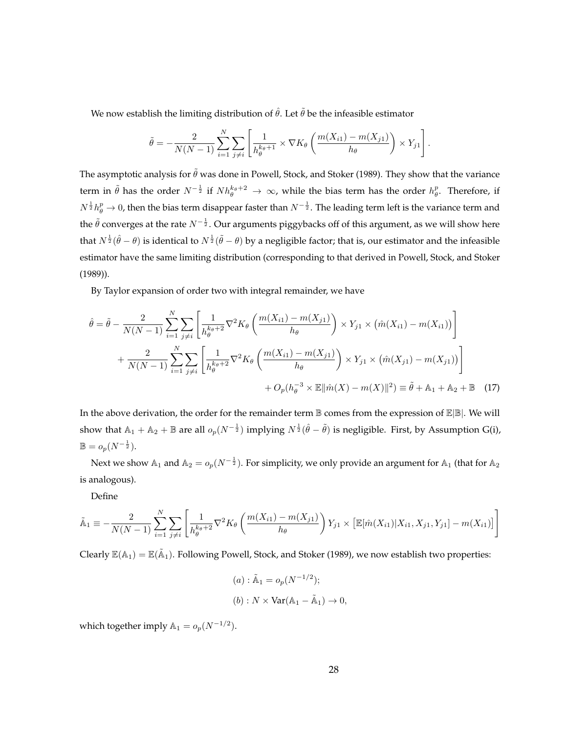We now establish the limiting distribution of  $\hat{\theta}$ . Let  $\tilde{\theta}$  be the infeasible estimator

$$
\tilde{\theta} = -\frac{2}{N(N-1)} \sum_{i=1}^{N} \sum_{j \neq i} \left[ \frac{1}{h_{\theta}^{k_{\theta}+1}} \times \nabla K_{\theta} \left( \frac{m(X_{i1}) - m(X_{j1})}{h_{\theta}} \right) \times Y_{j1} \right].
$$

The asymptotic analysis for  $\tilde{\theta}$  was done in [Powell, Stock, and Stoker](#page-25-6) [\(1989\)](#page-25-6). They show that the variance term in  $\tilde\theta$  has the order  $N^{-{1\over2}}$  if  $Nh_{\theta}^{k_{\theta}+2}\to\infty$ , while the bias term has the order  $h_{\theta}^p.$  Therefore, if  $N^{\frac{1}{2}}h^p_\theta\to 0$ , then the bias term disappear faster than  $N^{-\frac{1}{2}}.$  The leading term left is the variance term and the  $\tilde{\theta}$  converges at the rate  $N^{-\frac{1}{2}}.$  Our arguments piggybacks off of this argument, as we will show here that  $N^{\frac{1}{2}}(\hat\theta-\theta)$  is identical to  $N^{\frac{1}{2}}(\tilde\theta-\theta)$  by a negligible factor; that is, our estimator and the infeasible estimator have the same limiting distribution (corresponding to that derived in [Powell, Stock, and Stoker](#page-25-6) [\(1989\)](#page-25-6)).

By Taylor expansion of order two with integral remainder, we have

$$
\hat{\theta} = \tilde{\theta} - \frac{2}{N(N-1)} \sum_{i=1}^{N} \sum_{j \neq i} \left[ \frac{1}{h_{\theta}^{k_{\theta}+2}} \nabla^{2} K_{\theta} \left( \frac{m(X_{i1}) - m(X_{j1})}{h_{\theta}} \right) \times Y_{j1} \times (\hat{m}(X_{i1}) - m(X_{i1})) \right] + \frac{2}{N(N-1)} \sum_{i=1}^{N} \sum_{j \neq i} \left[ \frac{1}{h_{\theta}^{k_{\theta}+2}} \nabla^{2} K_{\theta} \left( \frac{m(X_{i1}) - m(X_{j1})}{h_{\theta}} \right) \times Y_{j1} \times (\hat{m}(X_{j1}) - m(X_{j1})) \right] + O_{p}(h_{\theta}^{-3} \times \mathbb{E} || \hat{m}(X) - m(X) ||^{2}) \equiv \tilde{\theta} + \mathbb{A}_{1} + \mathbb{A}_{2} + \mathbb{B} \quad (17)
$$

In the above derivation, the order for the remainder term  $\mathbb B$  comes from the expression of  $\mathbb E|\mathbb B|$ . We will show that  $\mathbb{A}_1 + \mathbb{A}_2 + \mathbb{B}$  are all  $o_p(N^{-\frac{1}{2}})$  implying  $N^{\frac{1}{2}}(\hat{\theta} - \tilde{\theta})$  is negligible. First, by Assumption [G\(](#page-18-0)i),  $\mathbb{B} = o_p(N^{-\frac{1}{2}}).$ 

Next we show  $\mathbb{A}_1$  and  $\mathbb{A}_2=o_p(N^{-\frac{1}{2}}).$  For simplicity, we only provide an argument for  $\mathbb{A}_1$  (that for  $\mathbb{A}_2$ is analogous).

Define

$$
\tilde{A}_1 \equiv -\frac{2}{N(N-1)} \sum_{i=1}^N \sum_{j \neq i} \left[ \frac{1}{h_{\theta}^{k_{\theta}+2}} \nabla^2 K_{\theta} \left( \frac{m(X_{i1}) - m(X_{j1})}{h_{\theta}} \right) Y_{j1} \times \left[ \mathbb{E}[\hat{m}(X_{i1}) | X_{i1}, X_{j1}, Y_{j1}] - m(X_{i1}) \right] \right]
$$

Clearly  $\mathbb{E}(\mathbb{A}_1)=\mathbb{E}(\tilde{\mathbb{A}}_1)$ . Following [Powell, Stock, and Stoker](#page-25-6) [\(1989\)](#page-25-6), we now establish two properties:

(a) : 
$$
\tilde{A}_1 = o_p(N^{-1/2});
$$
  
\n(b) :  $N \times \text{Var}(A_1 - \tilde{A}_1) \to 0,$ 

which together imply  $\mathbb{A}_1 = o_p(N^{-1/2})$ .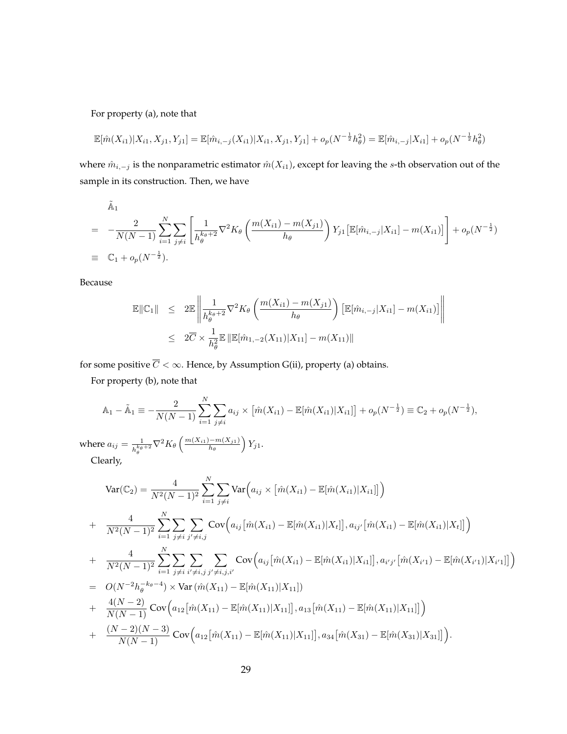For property (a), note that

$$
\mathbb{E}[\hat{m}(X_{i1})|X_{i1}, X_{j1}, Y_{j1}] = \mathbb{E}[\hat{m}_{i,-j}(X_{i1})|X_{i1}, X_{j1}, Y_{j1}] + o_p(N^{-\frac{1}{2}}h_\theta^2) = \mathbb{E}[\hat{m}_{i,-j}|X_{i1}] + o_p(N^{-\frac{1}{2}}h_\theta^2)
$$

where  $\hat{m}_{i,-j}$  is the nonparametric estimator  $\hat{m}(X_{i1})$ , except for leaving the  $s$ -th observation out of the sample in its construction. Then, we have

$$
\tilde{A}_1 = -\frac{2}{N(N-1)} \sum_{i=1}^N \sum_{j \neq i} \left[ \frac{1}{h_{\theta}^{k_{\theta}+2}} \nabla^2 K_{\theta} \left( \frac{m(X_{i1}) - m(X_{j1})}{h_{\theta}} \right) Y_{j1} \left[ \mathbb{E}[\hat{m}_{i,-j}|X_{i1}] - m(X_{i1}) \right] \right] + o_p(N^{-\frac{1}{2}})
$$
\n
$$
\equiv \mathbb{C}_1 + o_p(N^{-\frac{1}{2}}).
$$

Because

$$
\mathbb{E} \|C_1\| \leq 2 \mathbb{E} \left\| \frac{1}{h_{\theta}^{k_{\theta}+2}} \nabla^2 K_{\theta} \left( \frac{m(X_{i1}) - m(X_{j1})}{h_{\theta}} \right) \left[ \mathbb{E}[\hat{m}_{i,-j}|X_{i1}] - m(X_{i1})] \right\| \right\}
$$
  

$$
\leq 2 \overline{C} \times \frac{1}{h_{\theta}^2} \mathbb{E} \| \mathbb{E}[\hat{m}_{1,-2}(X_{11})|X_{11}] - m(X_{11}) \|
$$

for some positive  $\overline{C}<\infty.$  Hence, by Assumption [G\(](#page-18-0)ii), property (a) obtains.

For property (b), note that

$$
\mathbb{A}_1 - \tilde{\mathbb{A}}_1 \equiv -\frac{2}{N(N-1)} \sum_{i=1}^N \sum_{j \neq i} a_{ij} \times \left[ \hat{m}(X_{i1}) - \mathbb{E}[\hat{m}(X_{i1}) | X_{i1}] \right] + o_p(N^{-\frac{1}{2}}) \equiv \mathbb{C}_2 + o_p(N^{-\frac{1}{2}}),
$$

where  $a_{ij} = \frac{1}{i k \theta}$  $\frac{1}{h_\theta^{k_\theta+2}} \nabla^2 K_\theta\left(\frac{m(X_{i1})-m(X_{j1})}{h_\theta}\right)$  $\frac{(-m(X_{j1})}{h_{\theta}}\Big)Y_{j1}.$ Clearly,

$$
\begin{split}\n\text{Var}(\mathbb{C}_{2}) &= \frac{4}{N^{2}(N-1)^{2}} \sum_{i=1}^{N} \sum_{j\neq i} \text{Var}\Big(a_{ij} \times \big[\hat{m}(X_{i1}) - \mathbb{E}[\hat{m}(X_{i1})|X_{i1}]\big]\Big) \\
&+ \frac{4}{N^{2}(N-1)^{2}} \sum_{i=1}^{N} \sum_{j\neq i} \sum_{j'\neq i,j} \text{Cov}\Big(a_{ij}\big[\hat{m}(X_{i1}) - \mathbb{E}[\hat{m}(X_{i1})|X_{t}]\big], a_{ij'}\big[\hat{m}(X_{i1}) - \mathbb{E}[\hat{m}(X_{i1})|X_{t}]\big]\Big) \\
&+ \frac{4}{N^{2}(N-1)^{2}} \sum_{i=1}^{N} \sum_{j\neq i} \sum_{i'\neq i,j} \sum_{j'\neq i,j,i'} \text{Cov}\Big(a_{ij}\big[\hat{m}(X_{i1}) - \mathbb{E}[\hat{m}(X_{i1})|X_{i1}]\big], a_{i'j'}\big[\hat{m}(X_{i'1}) - \mathbb{E}[\hat{m}(X_{i'1})|X_{i'1}]\big]\Big) \\
&= O(N^{-2}h_{\theta}^{-k_{\theta}-4}) \times \text{Var}\big(\hat{m}(X_{11}) - \mathbb{E}[\hat{m}(X_{11})|X_{11}]\big) \\
&+ \frac{4(N-2)}{N(N-1)} \text{Cov}\Big(a_{12}\big[\hat{m}(X_{11}) - \mathbb{E}[\hat{m}(X_{11})|X_{11}]\big], a_{13}\big[\hat{m}(X_{11}) - \mathbb{E}[\hat{m}(X_{11})|X_{11}]\big]\Big) \\
&+ \frac{(N-2)(N-3)}{N(N-1)} \text{Cov}\Big(a_{12}\big[\hat{m}(X_{11}) - \mathbb{E}[\hat{m}(X_{11})|X_{11}]\big], a_{34}\big[\hat{m}(X_{31}) - \mathbb{E}[\hat{m}(X_{31})|X_{31}]\big]\Big).\n\end{split}
$$